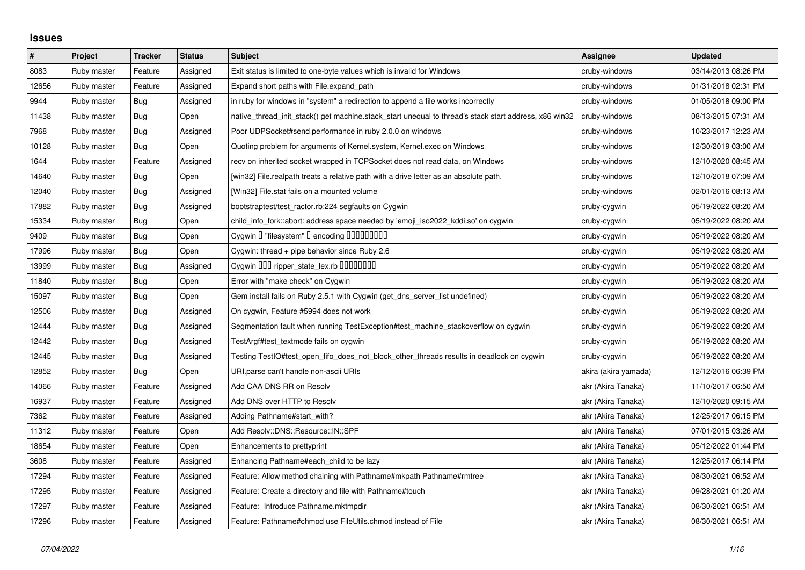## **Issues**

| $\#$  | Project     | <b>Tracker</b> | <b>Status</b> | <b>Subject</b>                                                                                        | Assignee             | <b>Updated</b>      |
|-------|-------------|----------------|---------------|-------------------------------------------------------------------------------------------------------|----------------------|---------------------|
| 8083  | Ruby master | Feature        | Assigned      | Exit status is limited to one-byte values which is invalid for Windows                                | cruby-windows        | 03/14/2013 08:26 PM |
| 12656 | Ruby master | Feature        | Assigned      | Expand short paths with File.expand_path                                                              | cruby-windows        | 01/31/2018 02:31 PM |
| 9944  | Ruby master | Bug            | Assigned      | in ruby for windows in "system" a redirection to append a file works incorrectly                      | cruby-windows        | 01/05/2018 09:00 PM |
| 11438 | Ruby master | Bug            | Open          | native thread init stack() get machine.stack start unequal to thread's stack start address, x86 win32 | cruby-windows        | 08/13/2015 07:31 AM |
| 7968  | Ruby master | Bug            | Assigned      | Poor UDPSocket#send performance in ruby 2.0.0 on windows                                              | cruby-windows        | 10/23/2017 12:23 AM |
| 10128 | Ruby master | Bug            | Open          | Quoting problem for arguments of Kernel.system, Kernel.exec on Windows                                | cruby-windows        | 12/30/2019 03:00 AM |
| 1644  | Ruby master | Feature        | Assigned      | recv on inherited socket wrapped in TCPSocket does not read data, on Windows                          | cruby-windows        | 12/10/2020 08:45 AM |
| 14640 | Ruby master | <b>Bug</b>     | Open          | [win32] File.realpath treats a relative path with a drive letter as an absolute path.                 | cruby-windows        | 12/10/2018 07:09 AM |
| 12040 | Ruby master | <b>Bug</b>     | Assigned      | [Win32] File.stat fails on a mounted volume                                                           | cruby-windows        | 02/01/2016 08:13 AM |
| 17882 | Ruby master | Bug            | Assigned      | bootstraptest/test_ractor.rb:224 segfaults on Cygwin                                                  | cruby-cygwin         | 05/19/2022 08:20 AM |
| 15334 | Ruby master | Bug            | Open          | child info fork::abort: address space needed by 'emoji iso2022 kddi.so' on cygwin                     | cruby-cygwin         | 05/19/2022 08:20 AM |
| 9409  | Ruby master | <b>Bug</b>     | Open          | Cygwin I "filesystem" I encoding IIIIIIIIIIII                                                         | cruby-cygwin         | 05/19/2022 08:20 AM |
| 17996 | Ruby master | <b>Bug</b>     | Open          | Cygwin: thread + pipe behavior since Ruby 2.6                                                         | cruby-cygwin         | 05/19/2022 08:20 AM |
| 13999 | Ruby master | Bug            | Assigned      | Cygwin 000 ripper_state_lex.rb 00000000                                                               | cruby-cygwin         | 05/19/2022 08:20 AM |
| 11840 | Ruby master | <b>Bug</b>     | Open          | Error with "make check" on Cygwin                                                                     | cruby-cygwin         | 05/19/2022 08:20 AM |
| 15097 | Ruby master | Bug            | Open          | Gem install fails on Ruby 2.5.1 with Cygwin (get_dns_server_list undefined)                           | cruby-cygwin         | 05/19/2022 08:20 AM |
| 12506 | Ruby master | Bug            | Assigned      | On cygwin, Feature #5994 does not work                                                                | cruby-cygwin         | 05/19/2022 08:20 AM |
| 12444 | Ruby master | Bug            | Assigned      | Segmentation fault when running TestException#test_machine_stackoverflow on cygwin                    | cruby-cygwin         | 05/19/2022 08:20 AM |
| 12442 | Ruby master | <b>Bug</b>     | Assigned      | TestArgf#test_textmode fails on cygwin                                                                | cruby-cygwin         | 05/19/2022 08:20 AM |
| 12445 | Ruby master | Bug            | Assigned      | Testing TestIO#test_open_fifo_does_not_block_other_threads results in deadlock on cygwin              | cruby-cygwin         | 05/19/2022 08:20 AM |
| 12852 | Ruby master | <b>Bug</b>     | Open          | URI.parse can't handle non-ascii URIs                                                                 | akira (akira yamada) | 12/12/2016 06:39 PM |
| 14066 | Ruby master | Feature        | Assigned      | Add CAA DNS RR on Resolv                                                                              | akr (Akira Tanaka)   | 11/10/2017 06:50 AM |
| 16937 | Ruby master | Feature        | Assigned      | Add DNS over HTTP to Resolv                                                                           | akr (Akira Tanaka)   | 12/10/2020 09:15 AM |
| 7362  | Ruby master | Feature        | Assigned      | Adding Pathname#start_with?                                                                           | akr (Akira Tanaka)   | 12/25/2017 06:15 PM |
| 11312 | Ruby master | Feature        | Open          | Add Resolv::DNS::Resource::IN::SPF                                                                    | akr (Akira Tanaka)   | 07/01/2015 03:26 AM |
| 18654 | Ruby master | Feature        | Open          | Enhancements to prettyprint                                                                           | akr (Akira Tanaka)   | 05/12/2022 01:44 PM |
| 3608  | Ruby master | Feature        | Assigned      | Enhancing Pathname#each_child to be lazy                                                              | akr (Akira Tanaka)   | 12/25/2017 06:14 PM |
| 17294 | Ruby master | Feature        | Assigned      | Feature: Allow method chaining with Pathname#mkpath Pathname#rmtree                                   | akr (Akira Tanaka)   | 08/30/2021 06:52 AM |
| 17295 | Ruby master | Feature        | Assigned      | Feature: Create a directory and file with Pathname#touch                                              | akr (Akira Tanaka)   | 09/28/2021 01:20 AM |
| 17297 | Ruby master | Feature        | Assigned      | Feature: Introduce Pathname.mktmpdir                                                                  | akr (Akira Tanaka)   | 08/30/2021 06:51 AM |
| 17296 | Ruby master | Feature        | Assigned      | Feature: Pathname#chmod use FileUtils.chmod instead of File                                           | akr (Akira Tanaka)   | 08/30/2021 06:51 AM |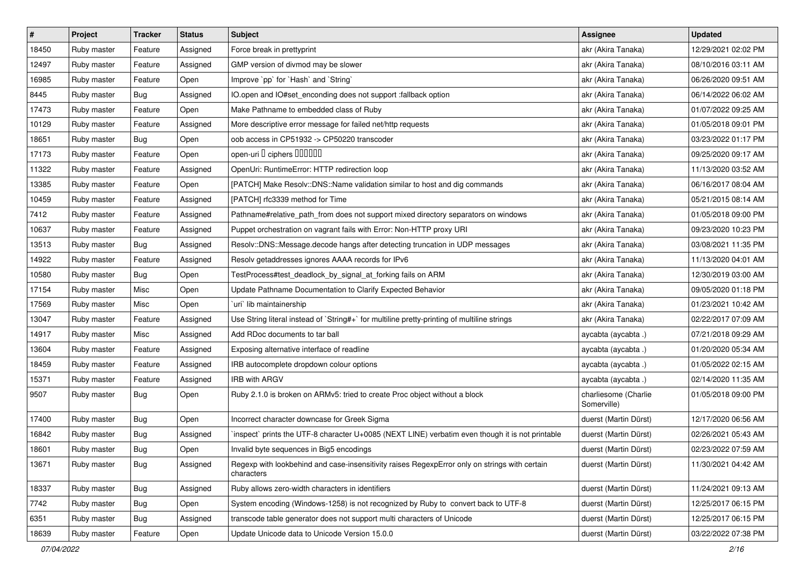| $\sharp$ | Project     | <b>Tracker</b> | <b>Status</b> | <b>Subject</b>                                                                                              | Assignee                            | <b>Updated</b>      |
|----------|-------------|----------------|---------------|-------------------------------------------------------------------------------------------------------------|-------------------------------------|---------------------|
| 18450    | Ruby master | Feature        | Assigned      | Force break in prettyprint                                                                                  | akr (Akira Tanaka)                  | 12/29/2021 02:02 PM |
| 12497    | Ruby master | Feature        | Assigned      | GMP version of divmod may be slower                                                                         | akr (Akira Tanaka)                  | 08/10/2016 03:11 AM |
| 16985    | Ruby master | Feature        | Open          | Improve `pp` for `Hash` and `String`                                                                        | akr (Akira Tanaka)                  | 06/26/2020 09:51 AM |
| 8445     | Ruby master | Bug            | Assigned      | IO.open and IO#set_enconding does not support :fallback option                                              | akr (Akira Tanaka)                  | 06/14/2022 06:02 AM |
| 17473    | Ruby master | Feature        | Open          | Make Pathname to embedded class of Ruby                                                                     | akr (Akira Tanaka)                  | 01/07/2022 09:25 AM |
| 10129    | Ruby master | Feature        | Assigned      | More descriptive error message for failed net/http requests                                                 | akr (Akira Tanaka)                  | 01/05/2018 09:01 PM |
| 18651    | Ruby master | <b>Bug</b>     | Open          | oob access in CP51932 -> CP50220 transcoder                                                                 | akr (Akira Tanaka)                  | 03/23/2022 01:17 PM |
| 17173    | Ruby master | Feature        | Open          | open-uri D ciphers DOODOO                                                                                   | akr (Akira Tanaka)                  | 09/25/2020 09:17 AM |
| 11322    | Ruby master | Feature        | Assigned      | OpenUri: RuntimeError: HTTP redirection loop                                                                | akr (Akira Tanaka)                  | 11/13/2020 03:52 AM |
| 13385    | Ruby master | Feature        | Open          | [PATCH] Make Resolv::DNS::Name validation similar to host and dig commands                                  | akr (Akira Tanaka)                  | 06/16/2017 08:04 AM |
| 10459    | Ruby master | Feature        | Assigned      | [PATCH] rfc3339 method for Time                                                                             | akr (Akira Tanaka)                  | 05/21/2015 08:14 AM |
| 7412     | Ruby master | Feature        | Assigned      | Pathname#relative_path_from does not support mixed directory separators on windows                          | akr (Akira Tanaka)                  | 01/05/2018 09:00 PM |
| 10637    | Ruby master | Feature        | Assigned      | Puppet orchestration on vagrant fails with Error: Non-HTTP proxy URI                                        | akr (Akira Tanaka)                  | 09/23/2020 10:23 PM |
| 13513    | Ruby master | <b>Bug</b>     | Assigned      | Resolv::DNS::Message.decode hangs after detecting truncation in UDP messages                                | akr (Akira Tanaka)                  | 03/08/2021 11:35 PM |
| 14922    | Ruby master | Feature        | Assigned      | Resolv getaddresses ignores AAAA records for IPv6                                                           | akr (Akira Tanaka)                  | 11/13/2020 04:01 AM |
| 10580    | Ruby master | Bug            | Open          | TestProcess#test_deadlock_by_signal_at_forking fails on ARM                                                 | akr (Akira Tanaka)                  | 12/30/2019 03:00 AM |
| 17154    | Ruby master | Misc           | Open          | Update Pathname Documentation to Clarify Expected Behavior                                                  | akr (Akira Tanaka)                  | 09/05/2020 01:18 PM |
| 17569    | Ruby master | Misc           | Open          | uri lib maintainership                                                                                      | akr (Akira Tanaka)                  | 01/23/2021 10:42 AM |
| 13047    | Ruby master | Feature        | Assigned      | Use String literal instead of `String#+` for multiline pretty-printing of multiline strings                 | akr (Akira Tanaka)                  | 02/22/2017 07:09 AM |
| 14917    | Ruby master | Misc           | Assigned      | Add RDoc documents to tar ball                                                                              | aycabta (aycabta.)                  | 07/21/2018 09:29 AM |
| 13604    | Ruby master | Feature        | Assigned      | Exposing alternative interface of readline                                                                  | aycabta (aycabta.)                  | 01/20/2020 05:34 AM |
| 18459    | Ruby master | Feature        | Assigned      | IRB autocomplete dropdown colour options                                                                    | aycabta (aycabta.)                  | 01/05/2022 02:15 AM |
| 15371    | Ruby master | Feature        | Assigned      | <b>IRB with ARGV</b>                                                                                        | aycabta (aycabta.)                  | 02/14/2020 11:35 AM |
| 9507     | Ruby master | <b>Bug</b>     | Open          | Ruby 2.1.0 is broken on ARMv5: tried to create Proc object without a block                                  | charliesome (Charlie<br>Somerville) | 01/05/2018 09:00 PM |
| 17400    | Ruby master | Bug            | Open          | Incorrect character downcase for Greek Sigma                                                                | duerst (Martin Dürst)               | 12/17/2020 06:56 AM |
| 16842    | Ruby master | Bug            | Assigned      | inspect` prints the UTF-8 character U+0085 (NEXT LINE) verbatim even though it is not printable             | duerst (Martin Dürst)               | 02/26/2021 05:43 AM |
| 18601    | Ruby master | <b>Bug</b>     | Open          | Invalid byte sequences in Big5 encodings                                                                    | duerst (Martin Dürst)               | 02/23/2022 07:59 AM |
| 13671    | Ruby master | <b>Bug</b>     | Assigned      | Regexp with lookbehind and case-insensitivity raises RegexpError only on strings with certain<br>characters | duerst (Martin Dürst)               | 11/30/2021 04:42 AM |
| 18337    | Ruby master | <b>Bug</b>     | Assigned      | Ruby allows zero-width characters in identifiers                                                            | duerst (Martin Dürst)               | 11/24/2021 09:13 AM |
| 7742     | Ruby master | <b>Bug</b>     | Open          | System encoding (Windows-1258) is not recognized by Ruby to convert back to UTF-8                           | duerst (Martin Dürst)               | 12/25/2017 06:15 PM |
| 6351     | Ruby master | <b>Bug</b>     | Assigned      | transcode table generator does not support multi characters of Unicode                                      | duerst (Martin Dürst)               | 12/25/2017 06:15 PM |
| 18639    | Ruby master | Feature        | Open          | Update Unicode data to Unicode Version 15.0.0                                                               | duerst (Martin Dürst)               | 03/22/2022 07:38 PM |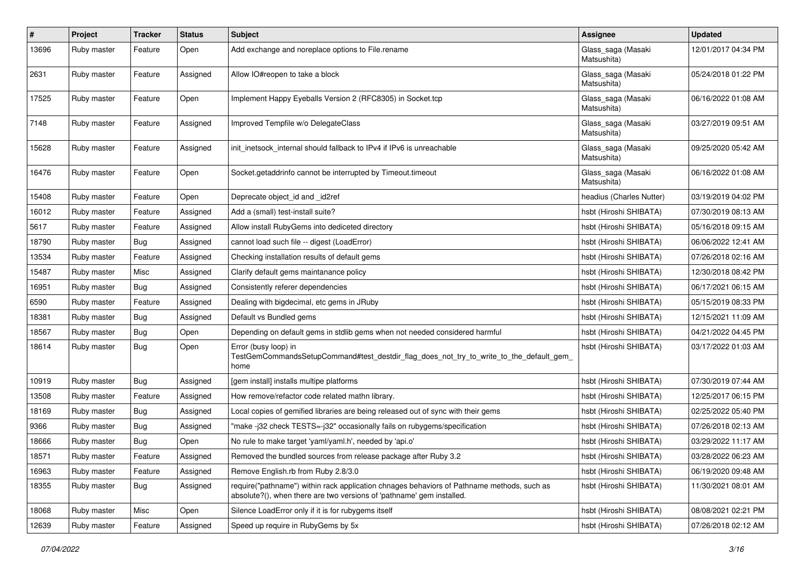| #     | Project     | <b>Tracker</b> | <b>Status</b> | <b>Subject</b>                                                                                                                                                      | Assignee                          | <b>Updated</b>      |
|-------|-------------|----------------|---------------|---------------------------------------------------------------------------------------------------------------------------------------------------------------------|-----------------------------------|---------------------|
| 13696 | Ruby master | Feature        | Open          | Add exchange and noreplace options to File.rename                                                                                                                   | Glass_saga (Masaki<br>Matsushita) | 12/01/2017 04:34 PM |
| 2631  | Ruby master | Feature        | Assigned      | Allow IO#reopen to take a block                                                                                                                                     | Glass_saga (Masaki<br>Matsushita) | 05/24/2018 01:22 PM |
| 17525 | Ruby master | Feature        | Open          | Implement Happy Eyeballs Version 2 (RFC8305) in Socket.tcp                                                                                                          | Glass_saga (Masaki<br>Matsushita) | 06/16/2022 01:08 AM |
| 7148  | Ruby master | Feature        | Assigned      | Improved Tempfile w/o DelegateClass                                                                                                                                 | Glass_saga (Masaki<br>Matsushita) | 03/27/2019 09:51 AM |
| 15628 | Ruby master | Feature        | Assigned      | init_inetsock_internal should fallback to IPv4 if IPv6 is unreachable                                                                                               | Glass_saga (Masaki<br>Matsushita) | 09/25/2020 05:42 AM |
| 16476 | Ruby master | Feature        | Open          | Socket.getaddrinfo cannot be interrupted by Timeout.timeout                                                                                                         | Glass_saga (Masaki<br>Matsushita) | 06/16/2022 01:08 AM |
| 15408 | Ruby master | Feature        | Open          | Deprecate object_id and _id2ref                                                                                                                                     | headius (Charles Nutter)          | 03/19/2019 04:02 PM |
| 16012 | Ruby master | Feature        | Assigned      | Add a (small) test-install suite?                                                                                                                                   | hsbt (Hiroshi SHIBATA)            | 07/30/2019 08:13 AM |
| 5617  | Ruby master | Feature        | Assigned      | Allow install RubyGems into dediceted directory                                                                                                                     | hsbt (Hiroshi SHIBATA)            | 05/16/2018 09:15 AM |
| 18790 | Ruby master | Bug            | Assigned      | cannot load such file -- digest (LoadError)                                                                                                                         | hsbt (Hiroshi SHIBATA)            | 06/06/2022 12:41 AM |
| 13534 | Ruby master | Feature        | Assigned      | Checking installation results of default gems                                                                                                                       | hsbt (Hiroshi SHIBATA)            | 07/26/2018 02:16 AM |
| 15487 | Ruby master | Misc           | Assigned      | Clarify default gems maintanance policy                                                                                                                             | hsbt (Hiroshi SHIBATA)            | 12/30/2018 08:42 PM |
| 16951 | Ruby master | Bug            | Assigned      | Consistently referer dependencies                                                                                                                                   | hsbt (Hiroshi SHIBATA)            | 06/17/2021 06:15 AM |
| 6590  | Ruby master | Feature        | Assigned      | Dealing with bigdecimal, etc gems in JRuby                                                                                                                          | hsbt (Hiroshi SHIBATA)            | 05/15/2019 08:33 PM |
| 18381 | Ruby master | Bug            | Assigned      | Default vs Bundled gems                                                                                                                                             | hsbt (Hiroshi SHIBATA)            | 12/15/2021 11:09 AM |
| 18567 | Ruby master | Bug            | Open          | Depending on default gems in stdlib gems when not needed considered harmful                                                                                         | hsbt (Hiroshi SHIBATA)            | 04/21/2022 04:45 PM |
| 18614 | Ruby master | Bug            | Open          | Error (busy loop) in<br>TestGemCommandsSetupCommand#test_destdir_flag_does_not_try_to_write_to_the_default_gem_<br>home                                             | hsbt (Hiroshi SHIBATA)            | 03/17/2022 01:03 AM |
| 10919 | Ruby master | Bug            | Assigned      | [gem install] installs multipe platforms                                                                                                                            | hsbt (Hiroshi SHIBATA)            | 07/30/2019 07:44 AM |
| 13508 | Ruby master | Feature        | Assigned      | How remove/refactor code related mathn library.                                                                                                                     | hsbt (Hiroshi SHIBATA)            | 12/25/2017 06:15 PM |
| 18169 | Ruby master | Bug            | Assigned      | Local copies of gemified libraries are being released out of sync with their gems                                                                                   | hsbt (Hiroshi SHIBATA)            | 02/25/2022 05:40 PM |
| 9366  | Ruby master | <b>Bug</b>     | Assigned      | "make-j32 check TESTS=-j32" occasionally fails on rubygems/specification                                                                                            | hsbt (Hiroshi SHIBATA)            | 07/26/2018 02:13 AM |
| 18666 | Ruby master | Bug            | Open          | No rule to make target 'yaml/yaml.h', needed by 'api.o'                                                                                                             | hsbt (Hiroshi SHIBATA)            | 03/29/2022 11:17 AM |
| 18571 | Ruby master | Feature        | Assigned      | Removed the bundled sources from release package after Ruby 3.2                                                                                                     | hsbt (Hiroshi SHIBATA)            | 03/28/2022 06:23 AM |
| 16963 | Ruby master | Feature        | Assigned      | Remove English.rb from Ruby 2.8/3.0                                                                                                                                 | hsbt (Hiroshi SHIBATA)            | 06/19/2020 09:48 AM |
| 18355 | Ruby master | Bug            | Assigned      | require("pathname") within rack application chnages behaviors of Pathname methods, such as<br>absolute?(), when there are two versions of 'pathname' gem installed. | hsbt (Hiroshi SHIBATA)            | 11/30/2021 08:01 AM |
| 18068 | Ruby master | Misc           | Open          | Silence LoadError only if it is for rubygems itself                                                                                                                 | hsbt (Hiroshi SHIBATA)            | 08/08/2021 02:21 PM |
| 12639 | Ruby master | Feature        | Assigned      | Speed up require in RubyGems by 5x                                                                                                                                  | hsbt (Hiroshi SHIBATA)            | 07/26/2018 02:12 AM |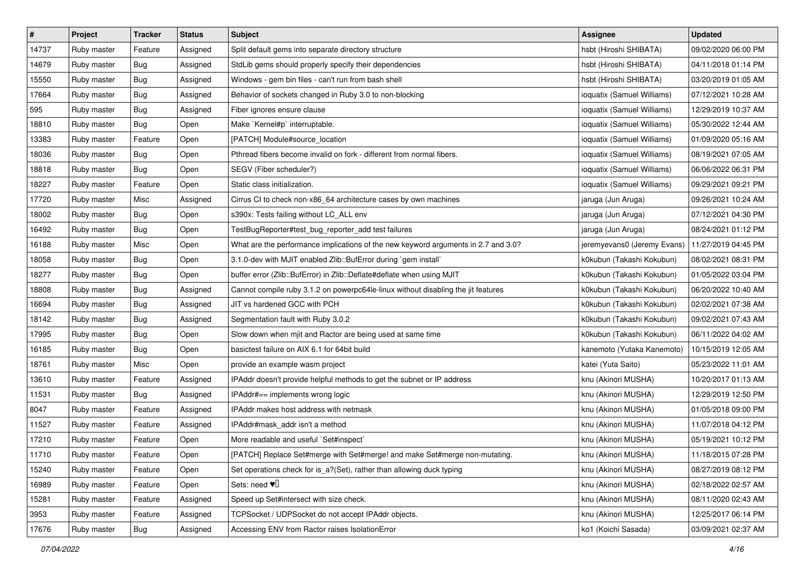| $\pmb{\#}$ | Project     | <b>Tracker</b> | <b>Status</b> | <b>Subject</b>                                                                     | Assignee                    | <b>Updated</b>      |
|------------|-------------|----------------|---------------|------------------------------------------------------------------------------------|-----------------------------|---------------------|
| 14737      | Ruby master | Feature        | Assigned      | Split default gems into separate directory structure                               | hsbt (Hiroshi SHIBATA)      | 09/02/2020 06:00 PM |
| 14679      | Ruby master | Bug            | Assigned      | StdLib gems should properly specify their dependencies                             | hsbt (Hiroshi SHIBATA)      | 04/11/2018 01:14 PM |
| 15550      | Ruby master | Bug            | Assigned      | Windows - gem bin files - can't run from bash shell                                | hsbt (Hiroshi SHIBATA)      | 03/20/2019 01:05 AM |
| 17664      | Ruby master | Bug            | Assigned      | Behavior of sockets changed in Ruby 3.0 to non-blocking                            | ioquatix (Samuel Williams)  | 07/12/2021 10:28 AM |
| 595        | Ruby master | Bug            | Assigned      | Fiber ignores ensure clause                                                        | ioquatix (Samuel Williams)  | 12/29/2019 10:37 AM |
| 18810      | Ruby master | Bug            | Open          | Make `Kernel#p` interruptable.                                                     | ioquatix (Samuel Williams)  | 05/30/2022 12:44 AM |
| 13383      | Ruby master | Feature        | Open          | [PATCH] Module#source_location                                                     | ioquatix (Samuel Williams)  | 01/09/2020 05:16 AM |
| 18036      | Ruby master | Bug            | Open          | Pthread fibers become invalid on fork - different from normal fibers.              | ioquatix (Samuel Williams)  | 08/19/2021 07:05 AM |
| 18818      | Ruby master | Bug            | Open          | SEGV (Fiber scheduler?)                                                            | ioquatix (Samuel Williams)  | 06/06/2022 06:31 PM |
| 18227      | Ruby master | Feature        | Open          | Static class initialization.                                                       | ioquatix (Samuel Williams)  | 09/29/2021 09:21 PM |
| 17720      | Ruby master | Misc           | Assigned      | Cirrus CI to check non-x86_64 architecture cases by own machines                   | jaruga (Jun Aruga)          | 09/26/2021 10:24 AM |
| 18002      | Ruby master | Bug            | Open          | s390x: Tests failing without LC_ALL env                                            | jaruga (Jun Aruga)          | 07/12/2021 04:30 PM |
| 16492      | Ruby master | Bug            | Open          | TestBugReporter#test_bug_reporter_add test failures                                | jaruga (Jun Aruga)          | 08/24/2021 01:12 PM |
| 16188      | Ruby master | Misc           | Open          | What are the performance implications of the new keyword arguments in 2.7 and 3.0? | jeremyevans0 (Jeremy Evans) | 11/27/2019 04:45 PM |
| 18058      | Ruby master | Bug            | Open          | 3.1.0-dev with MJIT enabled Zlib::BufError during `gem install`                    | k0kubun (Takashi Kokubun)   | 08/02/2021 08:31 PM |
| 18277      | Ruby master | <b>Bug</b>     | Open          | buffer error (Zlib::BufError) in Zlib::Deflate#deflate when using MJIT             | k0kubun (Takashi Kokubun)   | 01/05/2022 03:04 PM |
| 18808      | Ruby master | Bug            | Assigned      | Cannot compile ruby 3.1.2 on powerpc64le-linux without disabling the jit features  | k0kubun (Takashi Kokubun)   | 06/20/2022 10:40 AM |
| 16694      | Ruby master | <b>Bug</b>     | Assigned      | JIT vs hardened GCC with PCH                                                       | k0kubun (Takashi Kokubun)   | 02/02/2021 07:38 AM |
| 18142      | Ruby master | <b>Bug</b>     | Assigned      | Segmentation fault with Ruby 3.0.2                                                 | k0kubun (Takashi Kokubun)   | 09/02/2021 07:43 AM |
| 17995      | Ruby master | Bug            | Open          | Slow down when mjit and Ractor are being used at same time                         | k0kubun (Takashi Kokubun)   | 06/11/2022 04:02 AM |
| 16185      | Ruby master | Bug            | Open          | basictest failure on AIX 6.1 for 64bit build                                       | kanemoto (Yutaka Kanemoto)  | 10/15/2019 12:05 AM |
| 18761      | Ruby master | Misc           | Open          | provide an example wasm project                                                    | katei (Yuta Saito)          | 05/23/2022 11:01 AM |
| 13610      | Ruby master | Feature        | Assigned      | IPAddr doesn't provide helpful methods to get the subnet or IP address             | knu (Akinori MUSHA)         | 10/20/2017 01:13 AM |
| 11531      | Ruby master | Bug            | Assigned      | IPAddr#== implements wrong logic                                                   | knu (Akinori MUSHA)         | 12/29/2019 12:50 PM |
| 8047       | Ruby master | Feature        | Assigned      | IPAddr makes host address with netmask                                             | knu (Akinori MUSHA)         | 01/05/2018 09:00 PM |
| 11527      | Ruby master | Feature        | Assigned      | IPAddr#mask_addr isn't a method                                                    | knu (Akinori MUSHA)         | 11/07/2018 04:12 PM |
| 17210      | Ruby master | Feature        | Open          | More readable and useful `Set#inspect`                                             | knu (Akinori MUSHA)         | 05/19/2021 10:12 PM |
| 11710      | Ruby master | Feature        | Open          | [PATCH] Replace Set#merge with Set#merge! and make Set#merge non-mutating.         | knu (Akinori MUSHA)         | 11/18/2015 07:28 PM |
| 15240      | Ruby master | Feature        | Open          | Set operations check for is a?(Set), rather than allowing duck typing              | knu (Akinori MUSHA)         | 08/27/2019 08:12 PM |
| 16989      | Ruby master | Feature        | Open          | Sets: need $\Psi$                                                                  | knu (Akinori MUSHA)         | 02/18/2022 02:57 AM |
| 15281      | Ruby master | Feature        | Assigned      | Speed up Set#intersect with size check.                                            | knu (Akinori MUSHA)         | 08/11/2020 02:43 AM |
| 3953       | Ruby master | Feature        | Assigned      | TCPSocket / UDPSocket do not accept IPAddr objects.                                | knu (Akinori MUSHA)         | 12/25/2017 06:14 PM |
| 17676      | Ruby master | Bug            | Assigned      | Accessing ENV from Ractor raises IsolationError                                    | ko1 (Koichi Sasada)         | 03/09/2021 02:37 AM |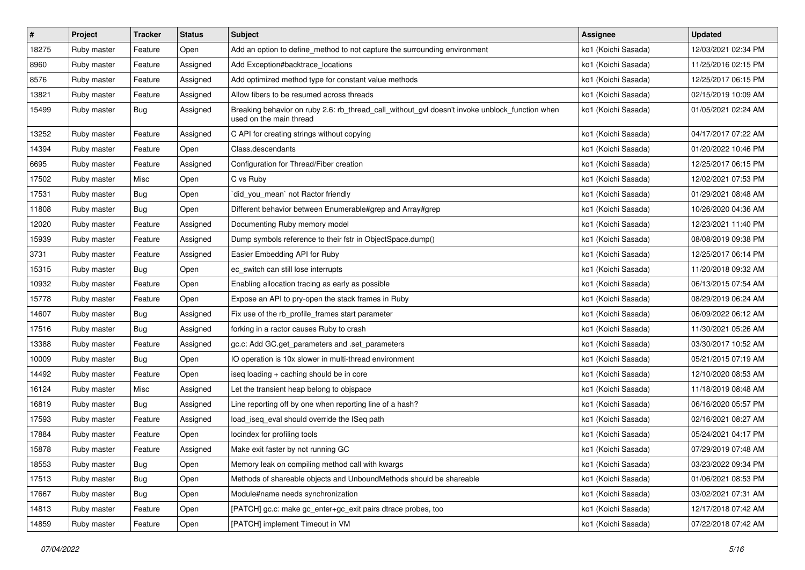| #     | Project     | <b>Tracker</b> | <b>Status</b> | Subject                                                                                                                   | Assignee            | <b>Updated</b>      |
|-------|-------------|----------------|---------------|---------------------------------------------------------------------------------------------------------------------------|---------------------|---------------------|
| 18275 | Ruby master | Feature        | Open          | Add an option to define_method to not capture the surrounding environment                                                 | ko1 (Koichi Sasada) | 12/03/2021 02:34 PM |
| 8960  | Ruby master | Feature        | Assigned      | Add Exception#backtrace_locations                                                                                         | ko1 (Koichi Sasada) | 11/25/2016 02:15 PM |
| 8576  | Ruby master | Feature        | Assigned      | Add optimized method type for constant value methods                                                                      | ko1 (Koichi Sasada) | 12/25/2017 06:15 PM |
| 13821 | Ruby master | Feature        | Assigned      | Allow fibers to be resumed across threads                                                                                 | ko1 (Koichi Sasada) | 02/15/2019 10:09 AM |
| 15499 | Ruby master | Bug            | Assigned      | Breaking behavior on ruby 2.6: rb_thread_call_without_gvl doesn't invoke unblock_function when<br>used on the main thread | ko1 (Koichi Sasada) | 01/05/2021 02:24 AM |
| 13252 | Ruby master | Feature        | Assigned      | C API for creating strings without copying                                                                                | ko1 (Koichi Sasada) | 04/17/2017 07:22 AM |
| 14394 | Ruby master | Feature        | Open          | Class.descendants                                                                                                         | ko1 (Koichi Sasada) | 01/20/2022 10:46 PM |
| 6695  | Ruby master | Feature        | Assigned      | Configuration for Thread/Fiber creation                                                                                   | ko1 (Koichi Sasada) | 12/25/2017 06:15 PM |
| 17502 | Ruby master | Misc           | Open          | C vs Ruby                                                                                                                 | ko1 (Koichi Sasada) | 12/02/2021 07:53 PM |
| 17531 | Ruby master | Bug            | Open          | did_you_mean` not Ractor friendly                                                                                         | ko1 (Koichi Sasada) | 01/29/2021 08:48 AM |
| 11808 | Ruby master | Bug            | Open          | Different behavior between Enumerable#grep and Array#grep                                                                 | ko1 (Koichi Sasada) | 10/26/2020 04:36 AM |
| 12020 | Ruby master | Feature        | Assigned      | Documenting Ruby memory model                                                                                             | ko1 (Koichi Sasada) | 12/23/2021 11:40 PM |
| 15939 | Ruby master | Feature        | Assigned      | Dump symbols reference to their fstr in ObjectSpace.dump()                                                                | ko1 (Koichi Sasada) | 08/08/2019 09:38 PM |
| 3731  | Ruby master | Feature        | Assigned      | Easier Embedding API for Ruby                                                                                             | ko1 (Koichi Sasada) | 12/25/2017 06:14 PM |
| 15315 | Ruby master | Bug            | Open          | ec_switch can still lose interrupts                                                                                       | ko1 (Koichi Sasada) | 11/20/2018 09:32 AM |
| 10932 | Ruby master | Feature        | Open          | Enabling allocation tracing as early as possible                                                                          | ko1 (Koichi Sasada) | 06/13/2015 07:54 AM |
| 15778 | Ruby master | Feature        | Open          | Expose an API to pry-open the stack frames in Ruby                                                                        | ko1 (Koichi Sasada) | 08/29/2019 06:24 AM |
| 14607 | Ruby master | Bug            | Assigned      | Fix use of the rb_profile_frames start parameter                                                                          | ko1 (Koichi Sasada) | 06/09/2022 06:12 AM |
| 17516 | Ruby master | Bug            | Assigned      | forking in a ractor causes Ruby to crash                                                                                  | ko1 (Koichi Sasada) | 11/30/2021 05:26 AM |
| 13388 | Ruby master | Feature        | Assigned      | gc.c: Add GC.get_parameters and .set_parameters                                                                           | ko1 (Koichi Sasada) | 03/30/2017 10:52 AM |
| 10009 | Ruby master | <b>Bug</b>     | Open          | IO operation is 10x slower in multi-thread environment                                                                    | ko1 (Koichi Sasada) | 05/21/2015 07:19 AM |
| 14492 | Ruby master | Feature        | Open          | iseq loading + caching should be in core                                                                                  | ko1 (Koichi Sasada) | 12/10/2020 08:53 AM |
| 16124 | Ruby master | Misc           | Assigned      | Let the transient heap belong to objspace                                                                                 | ko1 (Koichi Sasada) | 11/18/2019 08:48 AM |
| 16819 | Ruby master | Bug            | Assigned      | Line reporting off by one when reporting line of a hash?                                                                  | ko1 (Koichi Sasada) | 06/16/2020 05:57 PM |
| 17593 | Ruby master | Feature        | Assigned      | load_iseq_eval should override the ISeq path                                                                              | ko1 (Koichi Sasada) | 02/16/2021 08:27 AM |
| 17884 | Ruby master | Feature        | Open          | locindex for profiling tools                                                                                              | ko1 (Koichi Sasada) | 05/24/2021 04:17 PM |
| 15878 | Ruby master | Feature        | Assigned      | Make exit faster by not running GC                                                                                        | ko1 (Koichi Sasada) | 07/29/2019 07:48 AM |
| 18553 | Ruby master | <b>Bug</b>     | Open          | Memory leak on compiling method call with kwargs                                                                          | ko1 (Koichi Sasada) | 03/23/2022 09:34 PM |
| 17513 | Ruby master | Bug            | Open          | Methods of shareable objects and UnboundMethods should be shareable                                                       | ko1 (Koichi Sasada) | 01/06/2021 08:53 PM |
| 17667 | Ruby master | <b>Bug</b>     | Open          | Module#name needs synchronization                                                                                         | ko1 (Koichi Sasada) | 03/02/2021 07:31 AM |
| 14813 | Ruby master | Feature        | Open          | [PATCH] gc.c: make gc_enter+gc_exit pairs dtrace probes, too                                                              | ko1 (Koichi Sasada) | 12/17/2018 07:42 AM |
| 14859 | Ruby master | Feature        | Open          | [PATCH] implement Timeout in VM                                                                                           | ko1 (Koichi Sasada) | 07/22/2018 07:42 AM |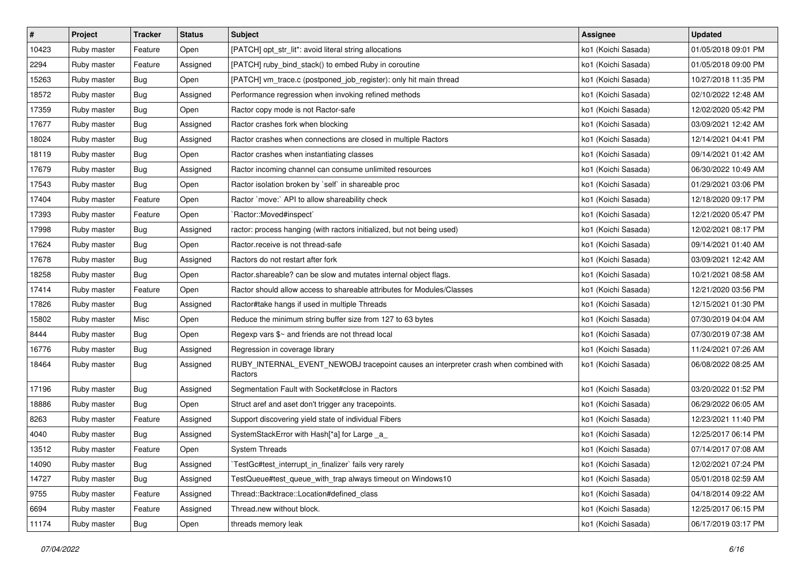| #     | Project     | <b>Tracker</b> | <b>Status</b> | Subject                                                                                         | Assignee            | <b>Updated</b>      |
|-------|-------------|----------------|---------------|-------------------------------------------------------------------------------------------------|---------------------|---------------------|
| 10423 | Ruby master | Feature        | Open          | [PATCH] opt_str_lit*: avoid literal string allocations                                          | ko1 (Koichi Sasada) | 01/05/2018 09:01 PM |
| 2294  | Ruby master | Feature        | Assigned      | [PATCH] ruby_bind_stack() to embed Ruby in coroutine                                            | ko1 (Koichi Sasada) | 01/05/2018 09:00 PM |
| 15263 | Ruby master | Bug            | Open          | [PATCH] vm_trace.c (postponed_job_register): only hit main thread                               | ko1 (Koichi Sasada) | 10/27/2018 11:35 PM |
| 18572 | Ruby master | <b>Bug</b>     | Assigned      | Performance regression when invoking refined methods                                            | ko1 (Koichi Sasada) | 02/10/2022 12:48 AM |
| 17359 | Ruby master | Bug            | Open          | Ractor copy mode is not Ractor-safe                                                             | ko1 (Koichi Sasada) | 12/02/2020 05:42 PM |
| 17677 | Ruby master | <b>Bug</b>     | Assigned      | Ractor crashes fork when blocking                                                               | ko1 (Koichi Sasada) | 03/09/2021 12:42 AM |
| 18024 | Ruby master | Bug            | Assigned      | Ractor crashes when connections are closed in multiple Ractors                                  | ko1 (Koichi Sasada) | 12/14/2021 04:41 PM |
| 18119 | Ruby master | Bug            | Open          | Ractor crashes when instantiating classes                                                       | ko1 (Koichi Sasada) | 09/14/2021 01:42 AM |
| 17679 | Ruby master | <b>Bug</b>     | Assigned      | Ractor incoming channel can consume unlimited resources                                         | ko1 (Koichi Sasada) | 06/30/2022 10:49 AM |
| 17543 | Ruby master | <b>Bug</b>     | Open          | Ractor isolation broken by `self` in shareable proc                                             | ko1 (Koichi Sasada) | 01/29/2021 03:06 PM |
| 17404 | Ruby master | Feature        | Open          | Ractor `move:` API to allow shareability check                                                  | ko1 (Koichi Sasada) | 12/18/2020 09:17 PM |
| 17393 | Ruby master | Feature        | Open          | `Ractor::Moved#inspect`                                                                         | ko1 (Koichi Sasada) | 12/21/2020 05:47 PM |
| 17998 | Ruby master | Bug            | Assigned      | ractor: process hanging (with ractors initialized, but not being used)                          | ko1 (Koichi Sasada) | 12/02/2021 08:17 PM |
| 17624 | Ruby master | Bug            | Open          | Ractor.receive is not thread-safe                                                               | ko1 (Koichi Sasada) | 09/14/2021 01:40 AM |
| 17678 | Ruby master | <b>Bug</b>     | Assigned      | Ractors do not restart after fork                                                               | ko1 (Koichi Sasada) | 03/09/2021 12:42 AM |
| 18258 | Ruby master | Bug            | Open          | Ractor shareable? can be slow and mutates internal object flags.                                | ko1 (Koichi Sasada) | 10/21/2021 08:58 AM |
| 17414 | Ruby master | Feature        | Open          | Ractor should allow access to shareable attributes for Modules/Classes                          | ko1 (Koichi Sasada) | 12/21/2020 03:56 PM |
| 17826 | Ruby master | Bug            | Assigned      | Ractor#take hangs if used in multiple Threads                                                   | ko1 (Koichi Sasada) | 12/15/2021 01:30 PM |
| 15802 | Ruby master | Misc           | Open          | Reduce the minimum string buffer size from 127 to 63 bytes                                      | ko1 (Koichi Sasada) | 07/30/2019 04:04 AM |
| 8444  | Ruby master | Bug            | Open          | Regexp vars \$~ and friends are not thread local                                                | ko1 (Koichi Sasada) | 07/30/2019 07:38 AM |
| 16776 | Ruby master | <b>Bug</b>     | Assigned      | Regression in coverage library                                                                  | ko1 (Koichi Sasada) | 11/24/2021 07:26 AM |
| 18464 | Ruby master | Bug            | Assigned      | RUBY_INTERNAL_EVENT_NEWOBJ tracepoint causes an interpreter crash when combined with<br>Ractors | ko1 (Koichi Sasada) | 06/08/2022 08:25 AM |
| 17196 | Ruby master | <b>Bug</b>     | Assigned      | Segmentation Fault with Socket#close in Ractors                                                 | ko1 (Koichi Sasada) | 03/20/2022 01:52 PM |
| 18886 | Ruby master | Bug            | Open          | Struct aref and aset don't trigger any tracepoints.                                             | ko1 (Koichi Sasada) | 06/29/2022 06:05 AM |
| 8263  | Ruby master | Feature        | Assigned      | Support discovering yield state of individual Fibers                                            | ko1 (Koichi Sasada) | 12/23/2021 11:40 PM |
| 4040  | Ruby master | Bug            | Assigned      | SystemStackError with Hash[*a] for Large _a_                                                    | ko1 (Koichi Sasada) | 12/25/2017 06:14 PM |
| 13512 | Ruby master | Feature        | Open          | <b>System Threads</b>                                                                           | ko1 (Koichi Sasada) | 07/14/2017 07:08 AM |
| 14090 | Ruby master | Bug            | Assigned      | TestGc#test_interrupt_in_finalizer` fails very rarely                                           | ko1 (Koichi Sasada) | 12/02/2021 07:24 PM |
| 14727 | Ruby master | Bug            | Assigned      | TestQueue#test_queue_with_trap always timeout on Windows10                                      | ko1 (Koichi Sasada) | 05/01/2018 02:59 AM |
| 9755  | Ruby master | Feature        | Assigned      | Thread::Backtrace::Location#defined_class                                                       | ko1 (Koichi Sasada) | 04/18/2014 09:22 AM |
| 6694  | Ruby master | Feature        | Assigned      | Thread.new without block.                                                                       | ko1 (Koichi Sasada) | 12/25/2017 06:15 PM |
| 11174 | Ruby master | <b>Bug</b>     | Open          | threads memory leak                                                                             | ko1 (Koichi Sasada) | 06/17/2019 03:17 PM |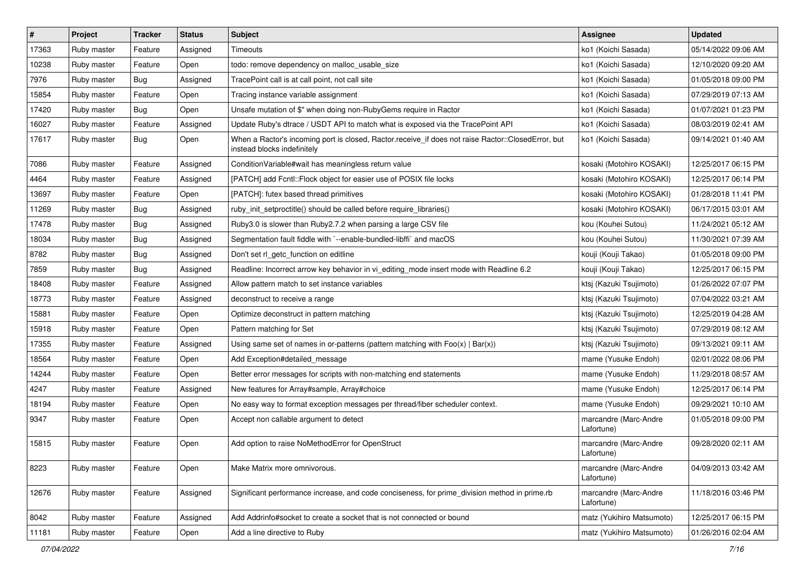| #     | Project     | <b>Tracker</b> | <b>Status</b> | <b>Subject</b>                                                                                                                    | <b>Assignee</b>                     | <b>Updated</b>      |
|-------|-------------|----------------|---------------|-----------------------------------------------------------------------------------------------------------------------------------|-------------------------------------|---------------------|
| 17363 | Ruby master | Feature        | Assigned      | Timeouts                                                                                                                          | ko1 (Koichi Sasada)                 | 05/14/2022 09:06 AM |
| 10238 | Ruby master | Feature        | Open          | todo: remove dependency on malloc_usable_size                                                                                     | ko1 (Koichi Sasada)                 | 12/10/2020 09:20 AM |
| 7976  | Ruby master | Bug            | Assigned      | TracePoint call is at call point, not call site                                                                                   | ko1 (Koichi Sasada)                 | 01/05/2018 09:00 PM |
| 15854 | Ruby master | Feature        | Open          | Tracing instance variable assignment                                                                                              | ko1 (Koichi Sasada)                 | 07/29/2019 07:13 AM |
| 17420 | Ruby master | Bug            | Open          | Unsafe mutation of \$" when doing non-RubyGems require in Ractor                                                                  | ko1 (Koichi Sasada)                 | 01/07/2021 01:23 PM |
| 16027 | Ruby master | Feature        | Assigned      | Update Ruby's dtrace / USDT API to match what is exposed via the TracePoint API                                                   | ko1 (Koichi Sasada)                 | 08/03/2019 02:41 AM |
| 17617 | Ruby master | Bug            | Open          | When a Ractor's incoming port is closed, Ractor.receive_if does not raise Ractor::ClosedError, but<br>instead blocks indefinitely | ko1 (Koichi Sasada)                 | 09/14/2021 01:40 AM |
| 7086  | Ruby master | Feature        | Assigned      | Condition Variable#wait has meaningless return value                                                                              | kosaki (Motohiro KOSAKI)            | 12/25/2017 06:15 PM |
| 4464  | Ruby master | Feature        | Assigned      | [PATCH] add Fcntl::Flock object for easier use of POSIX file locks                                                                | kosaki (Motohiro KOSAKI)            | 12/25/2017 06:14 PM |
| 13697 | Ruby master | Feature        | Open          | [PATCH]: futex based thread primitives                                                                                            | kosaki (Motohiro KOSAKI)            | 01/28/2018 11:41 PM |
| 11269 | Ruby master | Bug            | Assigned      | ruby_init_setproctitle() should be called before require_libraries()                                                              | kosaki (Motohiro KOSAKI)            | 06/17/2015 03:01 AM |
| 17478 | Ruby master | Bug            | Assigned      | Ruby3.0 is slower than Ruby2.7.2 when parsing a large CSV file                                                                    | kou (Kouhei Sutou)                  | 11/24/2021 05:12 AM |
| 18034 | Ruby master | Bug            | Assigned      | Segmentation fault fiddle with `--enable-bundled-libffi` and macOS                                                                | kou (Kouhei Sutou)                  | 11/30/2021 07:39 AM |
| 8782  | Ruby master | Bug            | Assigned      | Don't set rl_getc_function on editline                                                                                            | kouji (Kouji Takao)                 | 01/05/2018 09:00 PM |
| 7859  | Ruby master | Bug            | Assigned      | Readline: Incorrect arrow key behavior in vi_editing_mode insert mode with Readline 6.2                                           | kouji (Kouji Takao)                 | 12/25/2017 06:15 PM |
| 18408 | Ruby master | Feature        | Assigned      | Allow pattern match to set instance variables                                                                                     | ktsj (Kazuki Tsujimoto)             | 01/26/2022 07:07 PM |
| 18773 | Ruby master | Feature        | Assigned      | deconstruct to receive a range                                                                                                    | ktsj (Kazuki Tsujimoto)             | 07/04/2022 03:21 AM |
| 15881 | Ruby master | Feature        | Open          | Optimize deconstruct in pattern matching                                                                                          | ktsj (Kazuki Tsujimoto)             | 12/25/2019 04:28 AM |
| 15918 | Ruby master | Feature        | Open          | Pattern matching for Set                                                                                                          | ktsj (Kazuki Tsujimoto)             | 07/29/2019 08:12 AM |
| 17355 | Ruby master | Feature        | Assigned      | Using same set of names in or-patterns (pattern matching with $Foo(x)   Bar(x)$ )                                                 | ktsj (Kazuki Tsujimoto)             | 09/13/2021 09:11 AM |
| 18564 | Ruby master | Feature        | Open          | Add Exception#detailed message                                                                                                    | mame (Yusuke Endoh)                 | 02/01/2022 08:06 PM |
| 14244 | Ruby master | Feature        | Open          | Better error messages for scripts with non-matching end statements                                                                | mame (Yusuke Endoh)                 | 11/29/2018 08:57 AM |
| 4247  | Ruby master | Feature        | Assigned      | New features for Array#sample, Array#choice                                                                                       | mame (Yusuke Endoh)                 | 12/25/2017 06:14 PM |
| 18194 | Ruby master | Feature        | Open          | No easy way to format exception messages per thread/fiber scheduler context.                                                      | mame (Yusuke Endoh)                 | 09/29/2021 10:10 AM |
| 9347  | Ruby master | Feature        | Open          | Accept non callable argument to detect                                                                                            | marcandre (Marc-Andre<br>Lafortune) | 01/05/2018 09:00 PM |
| 15815 | Ruby master | Feature        | Open          | Add option to raise NoMethodError for OpenStruct                                                                                  | marcandre (Marc-Andre<br>Lafortune) | 09/28/2020 02:11 AM |
| 8223  | Ruby master | Feature        | Open          | Make Matrix more omnivorous.                                                                                                      | marcandre (Marc-Andre<br>Lafortune) | 04/09/2013 03:42 AM |
| 12676 | Ruby master | Feature        | Assigned      | Significant performance increase, and code conciseness, for prime_division method in prime.rb                                     | marcandre (Marc-Andre<br>Lafortune) | 11/18/2016 03:46 PM |
| 8042  | Ruby master | Feature        | Assigned      | Add Addrinfo#socket to create a socket that is not connected or bound                                                             | matz (Yukihiro Matsumoto)           | 12/25/2017 06:15 PM |
| 11181 | Ruby master | Feature        | Open          | Add a line directive to Ruby                                                                                                      | matz (Yukihiro Matsumoto)           | 01/26/2016 02:04 AM |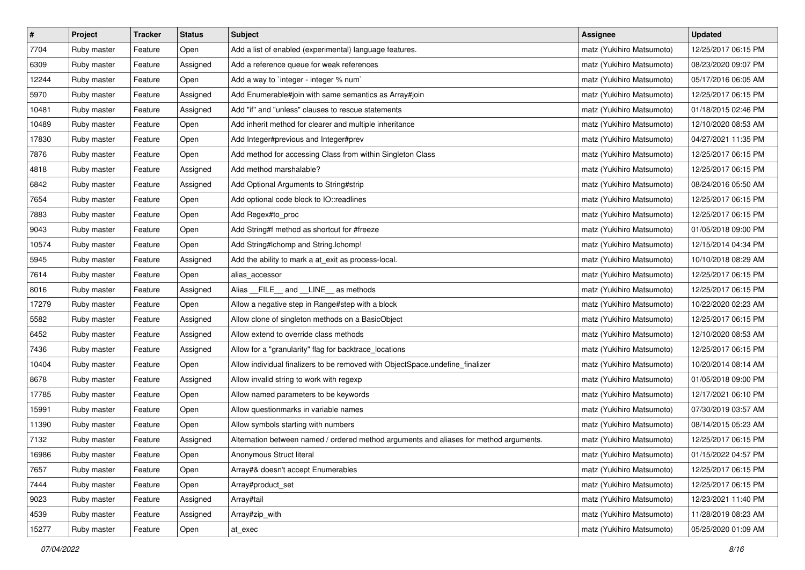| $\pmb{\#}$ | Project     | <b>Tracker</b> | <b>Status</b> | <b>Subject</b>                                                                         | <b>Assignee</b>           | <b>Updated</b>      |
|------------|-------------|----------------|---------------|----------------------------------------------------------------------------------------|---------------------------|---------------------|
| 7704       | Ruby master | Feature        | Open          | Add a list of enabled (experimental) language features.                                | matz (Yukihiro Matsumoto) | 12/25/2017 06:15 PM |
| 6309       | Ruby master | Feature        | Assigned      | Add a reference queue for weak references                                              | matz (Yukihiro Matsumoto) | 08/23/2020 09:07 PM |
| 12244      | Ruby master | Feature        | Open          | Add a way to 'integer - integer % num'                                                 | matz (Yukihiro Matsumoto) | 05/17/2016 06:05 AM |
| 5970       | Ruby master | Feature        | Assigned      | Add Enumerable#join with same semantics as Array#join                                  | matz (Yukihiro Matsumoto) | 12/25/2017 06:15 PM |
| 10481      | Ruby master | Feature        | Assigned      | Add "if" and "unless" clauses to rescue statements                                     | matz (Yukihiro Matsumoto) | 01/18/2015 02:46 PM |
| 10489      | Ruby master | Feature        | Open          | Add inherit method for clearer and multiple inheritance                                | matz (Yukihiro Matsumoto) | 12/10/2020 08:53 AM |
| 17830      | Ruby master | Feature        | Open          | Add Integer#previous and Integer#prev                                                  | matz (Yukihiro Matsumoto) | 04/27/2021 11:35 PM |
| 7876       | Ruby master | Feature        | Open          | Add method for accessing Class from within Singleton Class                             | matz (Yukihiro Matsumoto) | 12/25/2017 06:15 PM |
| 4818       | Ruby master | Feature        | Assigned      | Add method marshalable?                                                                | matz (Yukihiro Matsumoto) | 12/25/2017 06:15 PM |
| 6842       | Ruby master | Feature        | Assigned      | Add Optional Arguments to String#strip                                                 | matz (Yukihiro Matsumoto) | 08/24/2016 05:50 AM |
| 7654       | Ruby master | Feature        | Open          | Add optional code block to IO::readlines                                               | matz (Yukihiro Matsumoto) | 12/25/2017 06:15 PM |
| 7883       | Ruby master | Feature        | Open          | Add Regex#to_proc                                                                      | matz (Yukihiro Matsumoto) | 12/25/2017 06:15 PM |
| 9043       | Ruby master | Feature        | Open          | Add String#f method as shortcut for #freeze                                            | matz (Yukihiro Matsumoto) | 01/05/2018 09:00 PM |
| 10574      | Ruby master | Feature        | Open          | Add String#Ichomp and String.Ichomp!                                                   | matz (Yukihiro Matsumoto) | 12/15/2014 04:34 PM |
| 5945       | Ruby master | Feature        | Assigned      | Add the ability to mark a at_exit as process-local.                                    | matz (Yukihiro Matsumoto) | 10/10/2018 08:29 AM |
| 7614       | Ruby master | Feature        | Open          | alias_accessor                                                                         | matz (Yukihiro Matsumoto) | 12/25/2017 06:15 PM |
| 8016       | Ruby master | Feature        | Assigned      | Alias __FILE__ and __LINE__ as methods                                                 | matz (Yukihiro Matsumoto) | 12/25/2017 06:15 PM |
| 17279      | Ruby master | Feature        | Open          | Allow a negative step in Range#step with a block                                       | matz (Yukihiro Matsumoto) | 10/22/2020 02:23 AM |
| 5582       | Ruby master | Feature        | Assigned      | Allow clone of singleton methods on a BasicObject                                      | matz (Yukihiro Matsumoto) | 12/25/2017 06:15 PM |
| 6452       | Ruby master | Feature        | Assigned      | Allow extend to override class methods                                                 | matz (Yukihiro Matsumoto) | 12/10/2020 08:53 AM |
| 7436       | Ruby master | Feature        | Assigned      | Allow for a "granularity" flag for backtrace_locations                                 | matz (Yukihiro Matsumoto) | 12/25/2017 06:15 PM |
| 10404      | Ruby master | Feature        | Open          | Allow individual finalizers to be removed with ObjectSpace.undefine_finalizer          | matz (Yukihiro Matsumoto) | 10/20/2014 08:14 AM |
| 8678       | Ruby master | Feature        | Assigned      | Allow invalid string to work with regexp                                               | matz (Yukihiro Matsumoto) | 01/05/2018 09:00 PM |
| 17785      | Ruby master | Feature        | Open          | Allow named parameters to be keywords                                                  | matz (Yukihiro Matsumoto) | 12/17/2021 06:10 PM |
| 15991      | Ruby master | Feature        | Open          | Allow questionmarks in variable names                                                  | matz (Yukihiro Matsumoto) | 07/30/2019 03:57 AM |
| 11390      | Ruby master | Feature        | Open          | Allow symbols starting with numbers                                                    | matz (Yukihiro Matsumoto) | 08/14/2015 05:23 AM |
| 7132       | Ruby master | Feature        | Assigned      | Alternation between named / ordered method arguments and aliases for method arguments. | matz (Yukihiro Matsumoto) | 12/25/2017 06:15 PM |
| 16986      | Ruby master | Feature        | Open          | Anonymous Struct literal                                                               | matz (Yukihiro Matsumoto) | 01/15/2022 04:57 PM |
| 7657       | Ruby master | Feature        | Open          | Array#& doesn't accept Enumerables                                                     | matz (Yukihiro Matsumoto) | 12/25/2017 06:15 PM |
| 7444       | Ruby master | Feature        | Open          | Array#product_set                                                                      | matz (Yukihiro Matsumoto) | 12/25/2017 06:15 PM |
| 9023       | Ruby master | Feature        | Assigned      | Array#tail                                                                             | matz (Yukihiro Matsumoto) | 12/23/2021 11:40 PM |
| 4539       | Ruby master | Feature        | Assigned      | Array#zip_with                                                                         | matz (Yukihiro Matsumoto) | 11/28/2019 08:23 AM |
| 15277      | Ruby master | Feature        | Open          | at_exec                                                                                | matz (Yukihiro Matsumoto) | 05/25/2020 01:09 AM |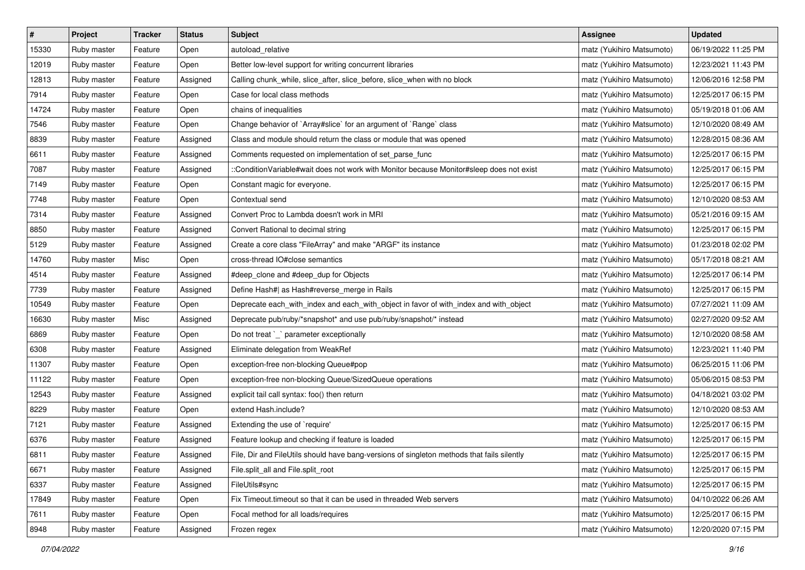| $\sharp$ | Project     | Tracker | <b>Status</b> | <b>Subject</b>                                                                             | <b>Assignee</b>           | <b>Updated</b>      |
|----------|-------------|---------|---------------|--------------------------------------------------------------------------------------------|---------------------------|---------------------|
| 15330    | Ruby master | Feature | Open          | autoload relative                                                                          | matz (Yukihiro Matsumoto) | 06/19/2022 11:25 PM |
| 12019    | Ruby master | Feature | Open          | Better low-level support for writing concurrent libraries                                  | matz (Yukihiro Matsumoto) | 12/23/2021 11:43 PM |
| 12813    | Ruby master | Feature | Assigned      | Calling chunk_while, slice_after, slice_before, slice_when with no block                   | matz (Yukihiro Matsumoto) | 12/06/2016 12:58 PM |
| 7914     | Ruby master | Feature | Open          | Case for local class methods                                                               | matz (Yukihiro Matsumoto) | 12/25/2017 06:15 PM |
| 14724    | Ruby master | Feature | Open          | chains of inequalities                                                                     | matz (Yukihiro Matsumoto) | 05/19/2018 01:06 AM |
| 7546     | Ruby master | Feature | Open          | Change behavior of `Array#slice` for an argument of `Range` class                          | matz (Yukihiro Matsumoto) | 12/10/2020 08:49 AM |
| 8839     | Ruby master | Feature | Assigned      | Class and module should return the class or module that was opened                         | matz (Yukihiro Matsumoto) | 12/28/2015 08:36 AM |
| 6611     | Ruby master | Feature | Assigned      | Comments requested on implementation of set_parse_func                                     | matz (Yukihiro Matsumoto) | 12/25/2017 06:15 PM |
| 7087     | Ruby master | Feature | Assigned      | ::ConditionVariable#wait does not work with Monitor because Monitor#sleep does not exist   | matz (Yukihiro Matsumoto) | 12/25/2017 06:15 PM |
| 7149     | Ruby master | Feature | Open          | Constant magic for everyone.                                                               | matz (Yukihiro Matsumoto) | 12/25/2017 06:15 PM |
| 7748     | Ruby master | Feature | Open          | Contextual send                                                                            | matz (Yukihiro Matsumoto) | 12/10/2020 08:53 AM |
| 7314     | Ruby master | Feature | Assigned      | Convert Proc to Lambda doesn't work in MRI                                                 | matz (Yukihiro Matsumoto) | 05/21/2016 09:15 AM |
| 8850     | Ruby master | Feature | Assigned      | Convert Rational to decimal string                                                         | matz (Yukihiro Matsumoto) | 12/25/2017 06:15 PM |
| 5129     | Ruby master | Feature | Assigned      | Create a core class "FileArray" and make "ARGF" its instance                               | matz (Yukihiro Matsumoto) | 01/23/2018 02:02 PM |
| 14760    | Ruby master | Misc    | Open          | cross-thread IO#close semantics                                                            | matz (Yukihiro Matsumoto) | 05/17/2018 08:21 AM |
| 4514     | Ruby master | Feature | Assigned      | #deep_clone and #deep_dup for Objects                                                      | matz (Yukihiro Matsumoto) | 12/25/2017 06:14 PM |
| 7739     | Ruby master | Feature | Assigned      | Define Hash#  as Hash#reverse_merge in Rails                                               | matz (Yukihiro Matsumoto) | 12/25/2017 06:15 PM |
| 10549    | Ruby master | Feature | Open          | Deprecate each_with_index and each_with_object in favor of with_index and with_object      | matz (Yukihiro Matsumoto) | 07/27/2021 11:09 AM |
| 16630    | Ruby master | Misc    | Assigned      | Deprecate pub/ruby/*snapshot* and use pub/ruby/snapshot/* instead                          | matz (Yukihiro Matsumoto) | 02/27/2020 09:52 AM |
| 6869     | Ruby master | Feature | Open          | Do not treat `_` parameter exceptionally                                                   | matz (Yukihiro Matsumoto) | 12/10/2020 08:58 AM |
| 6308     | Ruby master | Feature | Assigned      | Eliminate delegation from WeakRef                                                          | matz (Yukihiro Matsumoto) | 12/23/2021 11:40 PM |
| 11307    | Ruby master | Feature | Open          | exception-free non-blocking Queue#pop                                                      | matz (Yukihiro Matsumoto) | 06/25/2015 11:06 PM |
| 11122    | Ruby master | Feature | Open          | exception-free non-blocking Queue/SizedQueue operations                                    | matz (Yukihiro Matsumoto) | 05/06/2015 08:53 PM |
| 12543    | Ruby master | Feature | Assigned      | explicit tail call syntax: foo() then return                                               | matz (Yukihiro Matsumoto) | 04/18/2021 03:02 PM |
| 8229     | Ruby master | Feature | Open          | extend Hash.include?                                                                       | matz (Yukihiro Matsumoto) | 12/10/2020 08:53 AM |
| 7121     | Ruby master | Feature | Assigned      | Extending the use of `require'                                                             | matz (Yukihiro Matsumoto) | 12/25/2017 06:15 PM |
| 6376     | Ruby master | Feature | Assigned      | Feature lookup and checking if feature is loaded                                           | matz (Yukihiro Matsumoto) | 12/25/2017 06:15 PM |
| 6811     | Ruby master | Feature | Assigned      | File, Dir and FileUtils should have bang-versions of singleton methods that fails silently | matz (Yukihiro Matsumoto) | 12/25/2017 06:15 PM |
| 6671     | Ruby master | Feature | Assigned      | File.split_all and File.split_root                                                         | matz (Yukihiro Matsumoto) | 12/25/2017 06:15 PM |
| 6337     | Ruby master | Feature | Assigned      | FileUtils#sync                                                                             | matz (Yukihiro Matsumoto) | 12/25/2017 06:15 PM |
| 17849    | Ruby master | Feature | Open          | Fix Timeout timeout so that it can be used in threaded Web servers                         | matz (Yukihiro Matsumoto) | 04/10/2022 06:26 AM |
| 7611     | Ruby master | Feature | Open          | Focal method for all loads/requires                                                        | matz (Yukihiro Matsumoto) | 12/25/2017 06:15 PM |
| 8948     | Ruby master | Feature | Assigned      | Frozen regex                                                                               | matz (Yukihiro Matsumoto) | 12/20/2020 07:15 PM |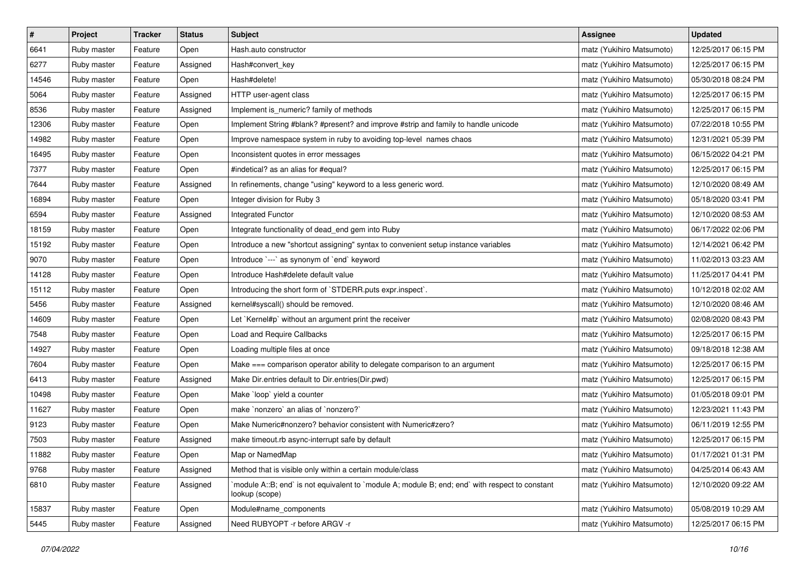| $\sharp$ | Project     | Tracker | <b>Status</b> | <b>Subject</b>                                                                                                   | <b>Assignee</b>           | <b>Updated</b>      |
|----------|-------------|---------|---------------|------------------------------------------------------------------------------------------------------------------|---------------------------|---------------------|
| 6641     | Ruby master | Feature | Open          | Hash.auto constructor                                                                                            | matz (Yukihiro Matsumoto) | 12/25/2017 06:15 PM |
| 6277     | Ruby master | Feature | Assigned      | Hash#convert_key                                                                                                 | matz (Yukihiro Matsumoto) | 12/25/2017 06:15 PM |
| 14546    | Ruby master | Feature | Open          | Hash#delete!                                                                                                     | matz (Yukihiro Matsumoto) | 05/30/2018 08:24 PM |
| 5064     | Ruby master | Feature | Assigned      | HTTP user-agent class                                                                                            | matz (Yukihiro Matsumoto) | 12/25/2017 06:15 PM |
| 8536     | Ruby master | Feature | Assigned      | Implement is_numeric? family of methods                                                                          | matz (Yukihiro Matsumoto) | 12/25/2017 06:15 PM |
| 12306    | Ruby master | Feature | Open          | Implement String #blank? #present? and improve #strip and family to handle unicode                               | matz (Yukihiro Matsumoto) | 07/22/2018 10:55 PM |
| 14982    | Ruby master | Feature | Open          | Improve namespace system in ruby to avoiding top-level names chaos                                               | matz (Yukihiro Matsumoto) | 12/31/2021 05:39 PM |
| 16495    | Ruby master | Feature | Open          | Inconsistent quotes in error messages                                                                            | matz (Yukihiro Matsumoto) | 06/15/2022 04:21 PM |
| 7377     | Ruby master | Feature | Open          | #indetical? as an alias for #equal?                                                                              | matz (Yukihiro Matsumoto) | 12/25/2017 06:15 PM |
| 7644     | Ruby master | Feature | Assigned      | In refinements, change "using" keyword to a less generic word.                                                   | matz (Yukihiro Matsumoto) | 12/10/2020 08:49 AM |
| 16894    | Ruby master | Feature | Open          | Integer division for Ruby 3                                                                                      | matz (Yukihiro Matsumoto) | 05/18/2020 03:41 PM |
| 6594     | Ruby master | Feature | Assigned      | Integrated Functor                                                                                               | matz (Yukihiro Matsumoto) | 12/10/2020 08:53 AM |
| 18159    | Ruby master | Feature | Open          | Integrate functionality of dead_end gem into Ruby                                                                | matz (Yukihiro Matsumoto) | 06/17/2022 02:06 PM |
| 15192    | Ruby master | Feature | Open          | Introduce a new "shortcut assigning" syntax to convenient setup instance variables                               | matz (Yukihiro Matsumoto) | 12/14/2021 06:42 PM |
| 9070     | Ruby master | Feature | Open          | Introduce `---` as synonym of `end` keyword                                                                      | matz (Yukihiro Matsumoto) | 11/02/2013 03:23 AM |
| 14128    | Ruby master | Feature | Open          | Introduce Hash#delete default value                                                                              | matz (Yukihiro Matsumoto) | 11/25/2017 04:41 PM |
| 15112    | Ruby master | Feature | Open          | Introducing the short form of `STDERR.puts expr.inspect`.                                                        | matz (Yukihiro Matsumoto) | 10/12/2018 02:02 AM |
| 5456     | Ruby master | Feature | Assigned      | kernel#syscall() should be removed.                                                                              | matz (Yukihiro Matsumoto) | 12/10/2020 08:46 AM |
| 14609    | Ruby master | Feature | Open          | Let `Kernel#p` without an argument print the receiver                                                            | matz (Yukihiro Matsumoto) | 02/08/2020 08:43 PM |
| 7548     | Ruby master | Feature | Open          | Load and Require Callbacks                                                                                       | matz (Yukihiro Matsumoto) | 12/25/2017 06:15 PM |
| 14927    | Ruby master | Feature | Open          | Loading multiple files at once                                                                                   | matz (Yukihiro Matsumoto) | 09/18/2018 12:38 AM |
| 7604     | Ruby master | Feature | Open          | Make === comparison operator ability to delegate comparison to an argument                                       | matz (Yukihiro Matsumoto) | 12/25/2017 06:15 PM |
| 6413     | Ruby master | Feature | Assigned      | Make Dir.entries default to Dir.entries(Dir.pwd)                                                                 | matz (Yukihiro Matsumoto) | 12/25/2017 06:15 PM |
| 10498    | Ruby master | Feature | Open          | Make `loop` yield a counter                                                                                      | matz (Yukihiro Matsumoto) | 01/05/2018 09:01 PM |
| 11627    | Ruby master | Feature | Open          | make `nonzero` an alias of `nonzero?`                                                                            | matz (Yukihiro Matsumoto) | 12/23/2021 11:43 PM |
| 9123     | Ruby master | Feature | Open          | Make Numeric#nonzero? behavior consistent with Numeric#zero?                                                     | matz (Yukihiro Matsumoto) | 06/11/2019 12:55 PM |
| 7503     | Ruby master | Feature | Assigned      | make timeout rb async-interrupt safe by default                                                                  | matz (Yukihiro Matsumoto) | 12/25/2017 06:15 PM |
| 11882    | Ruby master | Feature | Open          | Map or NamedMap                                                                                                  | matz (Yukihiro Matsumoto) | 01/17/2021 01:31 PM |
| 9768     | Ruby master | Feature | Assigned      | Method that is visible only within a certain module/class                                                        | matz (Yukihiro Matsumoto) | 04/25/2014 06:43 AM |
| 6810     | Ruby master | Feature | Assigned      | module A::B; end` is not equivalent to `module A; module B; end; end` with respect to constant<br>lookup (scope) | matz (Yukihiro Matsumoto) | 12/10/2020 09:22 AM |
| 15837    | Ruby master | Feature | Open          | Module#name_components                                                                                           | matz (Yukihiro Matsumoto) | 05/08/2019 10:29 AM |
| 5445     | Ruby master | Feature | Assigned      | Need RUBYOPT - r before ARGV - r                                                                                 | matz (Yukihiro Matsumoto) | 12/25/2017 06:15 PM |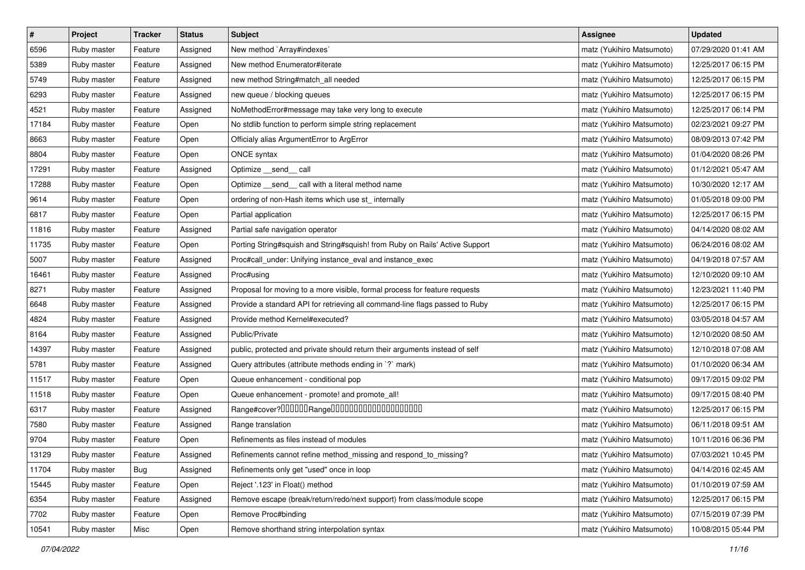| $\pmb{\#}$ | Project     | <b>Tracker</b> | <b>Status</b> | <b>Subject</b>                                                              | <b>Assignee</b>           | <b>Updated</b>      |
|------------|-------------|----------------|---------------|-----------------------------------------------------------------------------|---------------------------|---------------------|
| 6596       | Ruby master | Feature        | Assigned      | New method `Array#indexes`                                                  | matz (Yukihiro Matsumoto) | 07/29/2020 01:41 AM |
| 5389       | Ruby master | Feature        | Assigned      | New method Enumerator#iterate                                               | matz (Yukihiro Matsumoto) | 12/25/2017 06:15 PM |
| 5749       | Ruby master | Feature        | Assigned      | new method String#match_all needed                                          | matz (Yukihiro Matsumoto) | 12/25/2017 06:15 PM |
| 6293       | Ruby master | Feature        | Assigned      | new queue / blocking queues                                                 | matz (Yukihiro Matsumoto) | 12/25/2017 06:15 PM |
| 4521       | Ruby master | Feature        | Assigned      | NoMethodError#message may take very long to execute                         | matz (Yukihiro Matsumoto) | 12/25/2017 06:14 PM |
| 17184      | Ruby master | Feature        | Open          | No stdlib function to perform simple string replacement                     | matz (Yukihiro Matsumoto) | 02/23/2021 09:27 PM |
| 8663       | Ruby master | Feature        | Open          | Officialy alias ArgumentError to ArgError                                   | matz (Yukihiro Matsumoto) | 08/09/2013 07:42 PM |
| 8804       | Ruby master | Feature        | Open          | ONCE syntax                                                                 | matz (Yukihiro Matsumoto) | 01/04/2020 08:26 PM |
| 17291      | Ruby master | Feature        | Assigned      | Optimize __send__ call                                                      | matz (Yukihiro Matsumoto) | 01/12/2021 05:47 AM |
| 17288      | Ruby master | Feature        | Open          | Optimize _send_ call with a literal method name                             | matz (Yukihiro Matsumoto) | 10/30/2020 12:17 AM |
| 9614       | Ruby master | Feature        | Open          | ordering of non-Hash items which use st_ internally                         | matz (Yukihiro Matsumoto) | 01/05/2018 09:00 PM |
| 6817       | Ruby master | Feature        | Open          | Partial application                                                         | matz (Yukihiro Matsumoto) | 12/25/2017 06:15 PM |
| 11816      | Ruby master | Feature        | Assigned      | Partial safe navigation operator                                            | matz (Yukihiro Matsumoto) | 04/14/2020 08:02 AM |
| 11735      | Ruby master | Feature        | Open          | Porting String#squish and String#squish! from Ruby on Rails' Active Support | matz (Yukihiro Matsumoto) | 06/24/2016 08:02 AM |
| 5007       | Ruby master | Feature        | Assigned      | Proc#call_under: Unifying instance_eval and instance_exec                   | matz (Yukihiro Matsumoto) | 04/19/2018 07:57 AM |
| 16461      | Ruby master | Feature        | Assigned      | Proc#using                                                                  | matz (Yukihiro Matsumoto) | 12/10/2020 09:10 AM |
| 8271       | Ruby master | Feature        | Assigned      | Proposal for moving to a more visible, formal process for feature requests  | matz (Yukihiro Matsumoto) | 12/23/2021 11:40 PM |
| 6648       | Ruby master | Feature        | Assigned      | Provide a standard API for retrieving all command-line flags passed to Ruby | matz (Yukihiro Matsumoto) | 12/25/2017 06:15 PM |
| 4824       | Ruby master | Feature        | Assigned      | Provide method Kernel#executed?                                             | matz (Yukihiro Matsumoto) | 03/05/2018 04:57 AM |
| 8164       | Ruby master | Feature        | Assigned      | Public/Private                                                              | matz (Yukihiro Matsumoto) | 12/10/2020 08:50 AM |
| 14397      | Ruby master | Feature        | Assigned      | public, protected and private should return their arguments instead of self | matz (Yukihiro Matsumoto) | 12/10/2018 07:08 AM |
| 5781       | Ruby master | Feature        | Assigned      | Query attributes (attribute methods ending in `?` mark)                     | matz (Yukihiro Matsumoto) | 01/10/2020 06:34 AM |
| 11517      | Ruby master | Feature        | Open          | Queue enhancement - conditional pop                                         | matz (Yukihiro Matsumoto) | 09/17/2015 09:02 PM |
| 11518      | Ruby master | Feature        | Open          | Queue enhancement - promote! and promote_all!                               | matz (Yukihiro Matsumoto) | 09/17/2015 08:40 PM |
| 6317       | Ruby master | Feature        | Assigned      |                                                                             | matz (Yukihiro Matsumoto) | 12/25/2017 06:15 PM |
| 7580       | Ruby master | Feature        | Assigned      | Range translation                                                           | matz (Yukihiro Matsumoto) | 06/11/2018 09:51 AM |
| 9704       | Ruby master | Feature        | Open          | Refinements as files instead of modules                                     | matz (Yukihiro Matsumoto) | 10/11/2016 06:36 PM |
| 13129      | Ruby master | Feature        | Assigned      | Refinements cannot refine method_missing and respond_to_missing?            | matz (Yukihiro Matsumoto) | 07/03/2021 10:45 PM |
| 11704      | Ruby master | <b>Bug</b>     | Assigned      | Refinements only get "used" once in loop                                    | matz (Yukihiro Matsumoto) | 04/14/2016 02:45 AM |
| 15445      | Ruby master | Feature        | Open          | Reject '.123' in Float() method                                             | matz (Yukihiro Matsumoto) | 01/10/2019 07:59 AM |
| 6354       | Ruby master | Feature        | Assigned      | Remove escape (break/return/redo/next support) from class/module scope      | matz (Yukihiro Matsumoto) | 12/25/2017 06:15 PM |
| 7702       | Ruby master | Feature        | Open          | Remove Proc#binding                                                         | matz (Yukihiro Matsumoto) | 07/15/2019 07:39 PM |
| 10541      | Ruby master | Misc           | Open          | Remove shorthand string interpolation syntax                                | matz (Yukihiro Matsumoto) | 10/08/2015 05:44 PM |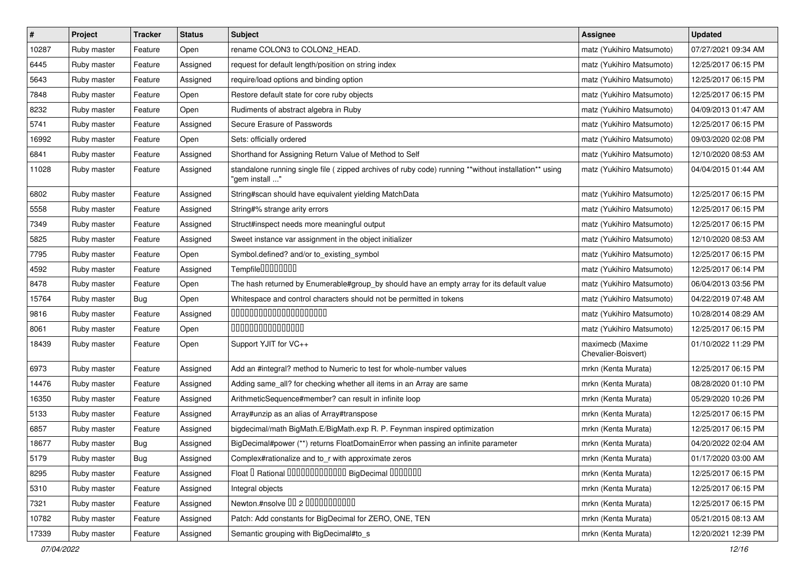| $\sharp$ | Project     | <b>Tracker</b> | <b>Status</b> | Subject                                                                                                                 | <b>Assignee</b>                         | <b>Updated</b>      |
|----------|-------------|----------------|---------------|-------------------------------------------------------------------------------------------------------------------------|-----------------------------------------|---------------------|
| 10287    | Ruby master | Feature        | Open          | rename COLON3 to COLON2_HEAD.                                                                                           | matz (Yukihiro Matsumoto)               | 07/27/2021 09:34 AM |
| 6445     | Ruby master | Feature        | Assigned      | request for default length/position on string index                                                                     | matz (Yukihiro Matsumoto)               | 12/25/2017 06:15 PM |
| 5643     | Ruby master | Feature        | Assigned      | require/load options and binding option                                                                                 | matz (Yukihiro Matsumoto)               | 12/25/2017 06:15 PM |
| 7848     | Ruby master | Feature        | Open          | Restore default state for core ruby objects                                                                             | matz (Yukihiro Matsumoto)               | 12/25/2017 06:15 PM |
| 8232     | Ruby master | Feature        | Open          | Rudiments of abstract algebra in Ruby                                                                                   | matz (Yukihiro Matsumoto)               | 04/09/2013 01:47 AM |
| 5741     | Ruby master | Feature        | Assigned      | Secure Erasure of Passwords                                                                                             | matz (Yukihiro Matsumoto)               | 12/25/2017 06:15 PM |
| 16992    | Ruby master | Feature        | Open          | Sets: officially ordered                                                                                                | matz (Yukihiro Matsumoto)               | 09/03/2020 02:08 PM |
| 6841     | Ruby master | Feature        | Assigned      | Shorthand for Assigning Return Value of Method to Self                                                                  | matz (Yukihiro Matsumoto)               | 12/10/2020 08:53 AM |
| 11028    | Ruby master | Feature        | Assigned      | standalone running single file ( zipped archives of ruby code) running **without installation** using<br>"gem install " | matz (Yukihiro Matsumoto)               | 04/04/2015 01:44 AM |
| 6802     | Ruby master | Feature        | Assigned      | String#scan should have equivalent yielding MatchData                                                                   | matz (Yukihiro Matsumoto)               | 12/25/2017 06:15 PM |
| 5558     | Ruby master | Feature        | Assigned      | String#% strange arity errors                                                                                           | matz (Yukihiro Matsumoto)               | 12/25/2017 06:15 PM |
| 7349     | Ruby master | Feature        | Assigned      | Struct#inspect needs more meaningful output                                                                             | matz (Yukihiro Matsumoto)               | 12/25/2017 06:15 PM |
| 5825     | Ruby master | Feature        | Assigned      | Sweet instance var assignment in the object initializer                                                                 | matz (Yukihiro Matsumoto)               | 12/10/2020 08:53 AM |
| 7795     | Ruby master | Feature        | Open          | Symbol.defined? and/or to_existing_symbol                                                                               | matz (Yukihiro Matsumoto)               | 12/25/2017 06:15 PM |
| 4592     | Ruby master | Feature        | Assigned      | Tempfile0000000                                                                                                         | matz (Yukihiro Matsumoto)               | 12/25/2017 06:14 PM |
| 8478     | Ruby master | Feature        | Open          | The hash returned by Enumerable#group_by should have an empty array for its default value                               | matz (Yukihiro Matsumoto)               | 06/04/2013 03:56 PM |
| 15764    | Ruby master | Bug            | Open          | Whitespace and control characters should not be permitted in tokens                                                     | matz (Yukihiro Matsumoto)               | 04/22/2019 07:48 AM |
| 9816     | Ruby master | Feature        | Assigned      | 00000000000000000000                                                                                                    | matz (Yukihiro Matsumoto)               | 10/28/2014 08:29 AM |
| 8061     | Ruby master | Feature        | Open          | 000000000000000                                                                                                         | matz (Yukihiro Matsumoto)               | 12/25/2017 06:15 PM |
| 18439    | Ruby master | Feature        | Open          | Support YJIT for VC++                                                                                                   | maximecb (Maxime<br>Chevalier-Boisvert) | 01/10/2022 11:29 PM |
| 6973     | Ruby master | Feature        | Assigned      | Add an #integral? method to Numeric to test for whole-number values                                                     | mrkn (Kenta Murata)                     | 12/25/2017 06:15 PM |
| 14476    | Ruby master | Feature        | Assigned      | Adding same_all? for checking whether all items in an Array are same                                                    | mrkn (Kenta Murata)                     | 08/28/2020 01:10 PM |
| 16350    | Ruby master | Feature        | Assigned      | ArithmeticSequence#member? can result in infinite loop                                                                  | mrkn (Kenta Murata)                     | 05/29/2020 10:26 PM |
| 5133     | Ruby master | Feature        | Assigned      | Array#unzip as an alias of Array#transpose                                                                              | mrkn (Kenta Murata)                     | 12/25/2017 06:15 PM |
| 6857     | Ruby master | Feature        | Assigned      | bigdecimal/math BigMath.E/BigMath.exp R. P. Feynman inspired optimization                                               | mrkn (Kenta Murata)                     | 12/25/2017 06:15 PM |
| 18677    | Ruby master | Bug            | Assigned      | BigDecimal#power (**) returns FloatDomainError when passing an infinite parameter                                       | mrkn (Kenta Murata)                     | 04/20/2022 02:04 AM |
| 5179     | Ruby master | Bug            | Assigned      | Complex#rationalize and to_r with approximate zeros                                                                     | mrkn (Kenta Murata)                     | 01/17/2020 03:00 AM |
| 8295     | Ruby master | Feature        | Assigned      | Float I Rational IIIIIIIIIIIIIIIIIII BigDecimal IIIIIIIIII                                                              | mrkn (Kenta Murata)                     | 12/25/2017 06:15 PM |
| 5310     | Ruby master | Feature        | Assigned      | Integral objects                                                                                                        | mrkn (Kenta Murata)                     | 12/25/2017 06:15 PM |
| 7321     | Ruby master | Feature        | Assigned      | Newton.#nsolve 00 2 0000000000                                                                                          | mrkn (Kenta Murata)                     | 12/25/2017 06:15 PM |
| 10782    | Ruby master | Feature        | Assigned      | Patch: Add constants for BigDecimal for ZERO, ONE, TEN                                                                  | mrkn (Kenta Murata)                     | 05/21/2015 08:13 AM |
| 17339    | Ruby master | Feature        | Assigned      | Semantic grouping with BigDecimal#to_s                                                                                  | mrkn (Kenta Murata)                     | 12/20/2021 12:39 PM |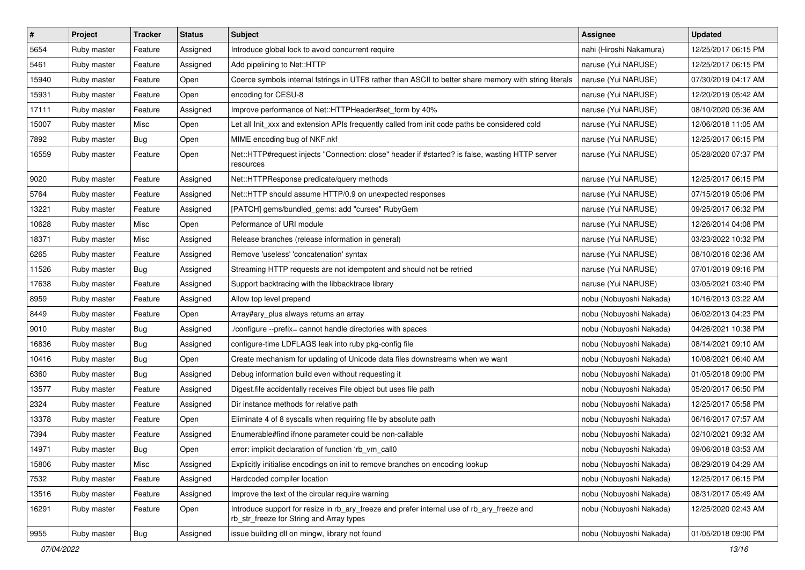| $\pmb{\#}$ | Project     | <b>Tracker</b> | <b>Status</b> | <b>Subject</b>                                                                                                                         | <b>Assignee</b>         | <b>Updated</b>      |
|------------|-------------|----------------|---------------|----------------------------------------------------------------------------------------------------------------------------------------|-------------------------|---------------------|
| 5654       | Ruby master | Feature        | Assigned      | Introduce global lock to avoid concurrent require                                                                                      | nahi (Hiroshi Nakamura) | 12/25/2017 06:15 PM |
| 5461       | Ruby master | Feature        | Assigned      | Add pipelining to Net::HTTP                                                                                                            | naruse (Yui NARUSE)     | 12/25/2017 06:15 PM |
| 15940      | Ruby master | Feature        | Open          | Coerce symbols internal fstrings in UTF8 rather than ASCII to better share memory with string literals                                 | naruse (Yui NARUSE)     | 07/30/2019 04:17 AM |
| 15931      | Ruby master | Feature        | Open          | encoding for CESU-8                                                                                                                    | naruse (Yui NARUSE)     | 12/20/2019 05:42 AM |
| 17111      | Ruby master | Feature        | Assigned      | Improve performance of Net::HTTPHeader#set_form by 40%                                                                                 | naruse (Yui NARUSE)     | 08/10/2020 05:36 AM |
| 15007      | Ruby master | Misc           | Open          | Let all Init_xxx and extension APIs frequently called from init code paths be considered cold                                          | naruse (Yui NARUSE)     | 12/06/2018 11:05 AM |
| 7892       | Ruby master | Bug            | Open          | MIME encoding bug of NKF.nkf                                                                                                           | naruse (Yui NARUSE)     | 12/25/2017 06:15 PM |
| 16559      | Ruby master | Feature        | Open          | Net::HTTP#request injects "Connection: close" header if #started? is false, wasting HTTP server<br>resources                           | naruse (Yui NARUSE)     | 05/28/2020 07:37 PM |
| 9020       | Ruby master | Feature        | Assigned      | Net::HTTPResponse predicate/query methods                                                                                              | naruse (Yui NARUSE)     | 12/25/2017 06:15 PM |
| 5764       | Ruby master | Feature        | Assigned      | Net::HTTP should assume HTTP/0.9 on unexpected responses                                                                               | naruse (Yui NARUSE)     | 07/15/2019 05:06 PM |
| 13221      | Ruby master | Feature        | Assigned      | [PATCH] gems/bundled_gems: add "curses" RubyGem                                                                                        | naruse (Yui NARUSE)     | 09/25/2017 06:32 PM |
| 10628      | Ruby master | Misc           | Open          | Peformance of URI module                                                                                                               | naruse (Yui NARUSE)     | 12/26/2014 04:08 PM |
| 18371      | Ruby master | Misc           | Assigned      | Release branches (release information in general)                                                                                      | naruse (Yui NARUSE)     | 03/23/2022 10:32 PM |
| 6265       | Ruby master | Feature        | Assigned      | Remove 'useless' 'concatenation' syntax                                                                                                | naruse (Yui NARUSE)     | 08/10/2016 02:36 AM |
| 11526      | Ruby master | Bug            | Assigned      | Streaming HTTP requests are not idempotent and should not be retried                                                                   | naruse (Yui NARUSE)     | 07/01/2019 09:16 PM |
| 17638      | Ruby master | Feature        | Assigned      | Support backtracing with the libbacktrace library                                                                                      | naruse (Yui NARUSE)     | 03/05/2021 03:40 PM |
| 8959       | Ruby master | Feature        | Assigned      | Allow top level prepend                                                                                                                | nobu (Nobuyoshi Nakada) | 10/16/2013 03:22 AM |
| 8449       | Ruby master | Feature        | Open          | Array#ary_plus always returns an array                                                                                                 | nobu (Nobuyoshi Nakada) | 06/02/2013 04:23 PM |
| 9010       | Ruby master | Bug            | Assigned      | ./configure --prefix= cannot handle directories with spaces                                                                            | nobu (Nobuyoshi Nakada) | 04/26/2021 10:38 PM |
| 16836      | Ruby master | Bug            | Assigned      | configure-time LDFLAGS leak into ruby pkg-config file                                                                                  | nobu (Nobuyoshi Nakada) | 08/14/2021 09:10 AM |
| 10416      | Ruby master | <b>Bug</b>     | Open          | Create mechanism for updating of Unicode data files downstreams when we want                                                           | nobu (Nobuyoshi Nakada) | 10/08/2021 06:40 AM |
| 6360       | Ruby master | Bug            | Assigned      | Debug information build even without requesting it                                                                                     | nobu (Nobuyoshi Nakada) | 01/05/2018 09:00 PM |
| 13577      | Ruby master | Feature        | Assigned      | Digest file accidentally receives File object but uses file path                                                                       | nobu (Nobuyoshi Nakada) | 05/20/2017 06:50 PM |
| 2324       | Ruby master | Feature        | Assigned      | Dir instance methods for relative path                                                                                                 | nobu (Nobuyoshi Nakada) | 12/25/2017 05:58 PM |
| 13378      | Ruby master | Feature        | Open          | Eliminate 4 of 8 syscalls when requiring file by absolute path                                                                         | nobu (Nobuyoshi Nakada) | 06/16/2017 07:57 AM |
| 7394       | Ruby master | Feature        | Assigned      | Enumerable#find ifnone parameter could be non-callable                                                                                 | nobu (Nobuyoshi Nakada) | 02/10/2021 09:32 AM |
| 14971      | Ruby master | Bug            | Open          | error: implicit declaration of function 'rb vm call0                                                                                   | nobu (Nobuyoshi Nakada) | 09/06/2018 03:53 AM |
| 15806      | Ruby master | Misc           | Assigned      | Explicitly initialise encodings on init to remove branches on encoding lookup                                                          | nobu (Nobuyoshi Nakada) | 08/29/2019 04:29 AM |
| 7532       | Ruby master | Feature        | Assigned      | Hardcoded compiler location                                                                                                            | nobu (Nobuyoshi Nakada) | 12/25/2017 06:15 PM |
| 13516      | Ruby master | Feature        | Assigned      | Improve the text of the circular require warning                                                                                       | nobu (Nobuyoshi Nakada) | 08/31/2017 05:49 AM |
| 16291      | Ruby master | Feature        | Open          | Introduce support for resize in rb_ary_freeze and prefer internal use of rb_ary_freeze and<br>rb_str_freeze for String and Array types | nobu (Nobuyoshi Nakada) | 12/25/2020 02:43 AM |
| 9955       | Ruby master | <b>Bug</b>     | Assigned      | issue building dll on mingw, library not found                                                                                         | nobu (Nobuyoshi Nakada) | 01/05/2018 09:00 PM |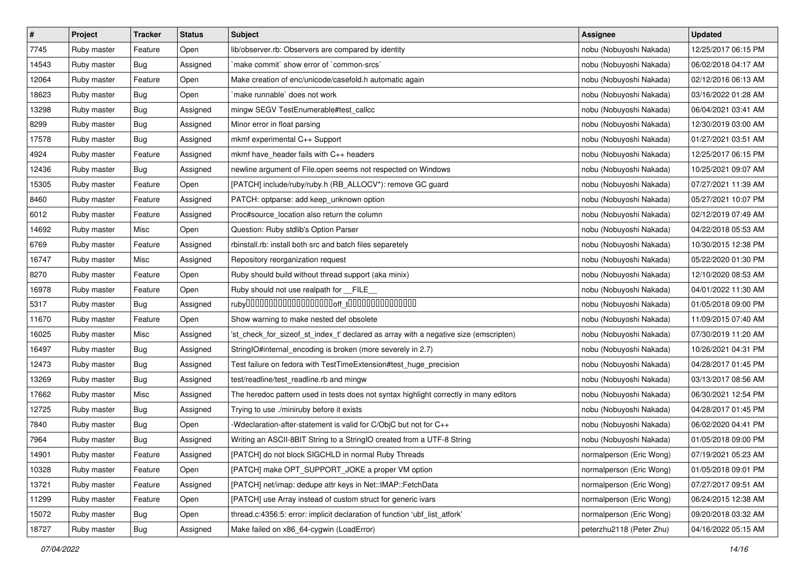| $\pmb{\#}$ | Project     | <b>Tracker</b> | <b>Status</b> | <b>Subject</b>                                                                        | Assignee                 | <b>Updated</b>      |
|------------|-------------|----------------|---------------|---------------------------------------------------------------------------------------|--------------------------|---------------------|
| 7745       | Ruby master | Feature        | Open          | lib/observer.rb: Observers are compared by identity                                   | nobu (Nobuyoshi Nakada)  | 12/25/2017 06:15 PM |
| 14543      | Ruby master | Bug            | Assigned      | `make commit` show error of `common-srcs`                                             | nobu (Nobuyoshi Nakada)  | 06/02/2018 04:17 AM |
| 12064      | Ruby master | Feature        | Open          | Make creation of enc/unicode/casefold.h automatic again                               | nobu (Nobuyoshi Nakada)  | 02/12/2016 06:13 AM |
| 18623      | Ruby master | Bug            | Open          | make runnable' does not work                                                          | nobu (Nobuyoshi Nakada)  | 03/16/2022 01:28 AM |
| 13298      | Ruby master | Bug            | Assigned      | mingw SEGV TestEnumerable#test_callcc                                                 | nobu (Nobuyoshi Nakada)  | 06/04/2021 03:41 AM |
| 8299       | Ruby master | <b>Bug</b>     | Assigned      | Minor error in float parsing                                                          | nobu (Nobuyoshi Nakada)  | 12/30/2019 03:00 AM |
| 17578      | Ruby master | Bug            | Assigned      | mkmf experimental C++ Support                                                         | nobu (Nobuyoshi Nakada)  | 01/27/2021 03:51 AM |
| 4924       | Ruby master | Feature        | Assigned      | mkmf have_header fails with C++ headers                                               | nobu (Nobuyoshi Nakada)  | 12/25/2017 06:15 PM |
| 12436      | Ruby master | Bug            | Assigned      | newline argument of File.open seems not respected on Windows                          | nobu (Nobuyoshi Nakada)  | 10/25/2021 09:07 AM |
| 15305      | Ruby master | Feature        | Open          | [PATCH] include/ruby/ruby.h (RB_ALLOCV*): remove GC guard                             | nobu (Nobuyoshi Nakada)  | 07/27/2021 11:39 AM |
| 8460       | Ruby master | Feature        | Assigned      | PATCH: optparse: add keep_unknown option                                              | nobu (Nobuyoshi Nakada)  | 05/27/2021 10:07 PM |
| 6012       | Ruby master | Feature        | Assigned      | Proc#source_location also return the column                                           | nobu (Nobuyoshi Nakada)  | 02/12/2019 07:49 AM |
| 14692      | Ruby master | Misc           | Open          | Question: Ruby stdlib's Option Parser                                                 | nobu (Nobuyoshi Nakada)  | 04/22/2018 05:53 AM |
| 6769       | Ruby master | Feature        | Assigned      | rbinstall.rb: install both src and batch files separetely                             | nobu (Nobuyoshi Nakada)  | 10/30/2015 12:38 PM |
| 16747      | Ruby master | Misc           | Assigned      | Repository reorganization request                                                     | nobu (Nobuyoshi Nakada)  | 05/22/2020 01:30 PM |
| 8270       | Ruby master | Feature        | Open          | Ruby should build without thread support (aka minix)                                  | nobu (Nobuyoshi Nakada)  | 12/10/2020 08:53 AM |
| 16978      | Ruby master | Feature        | Open          | Ruby should not use realpath for FILE                                                 | nobu (Nobuyoshi Nakada)  | 04/01/2022 11:30 AM |
| 5317       | Ruby master | Bug            | Assigned      |                                                                                       | nobu (Nobuyoshi Nakada)  | 01/05/2018 09:00 PM |
| 11670      | Ruby master | Feature        | Open          | Show warning to make nested def obsolete                                              | nobu (Nobuyoshi Nakada)  | 11/09/2015 07:40 AM |
| 16025      | Ruby master | Misc           | Assigned      | 'st_check_for_sizeof_st_index_t' declared as array with a negative size (emscripten)  | nobu (Nobuyoshi Nakada)  | 07/30/2019 11:20 AM |
| 16497      | Ruby master | Bug            | Assigned      | StringIO#internal_encoding is broken (more severely in 2.7)                           | nobu (Nobuyoshi Nakada)  | 10/26/2021 04:31 PM |
| 12473      | Ruby master | <b>Bug</b>     | Assigned      | Test failure on fedora with TestTimeExtension#test_huge_precision                     | nobu (Nobuyoshi Nakada)  | 04/28/2017 01:45 PM |
| 13269      | Ruby master | Bug            | Assigned      | test/readline/test_readline.rb and mingw                                              | nobu (Nobuyoshi Nakada)  | 03/13/2017 08:56 AM |
| 17662      | Ruby master | Misc           | Assigned      | The heredoc pattern used in tests does not syntax highlight correctly in many editors | nobu (Nobuyoshi Nakada)  | 06/30/2021 12:54 PM |
| 12725      | Ruby master | Bug            | Assigned      | Trying to use ./miniruby before it exists                                             | nobu (Nobuyoshi Nakada)  | 04/28/2017 01:45 PM |
| 7840       | Ruby master | Bug            | Open          | -Wdeclaration-after-statement is valid for C/ObjC but not for C++                     | nobu (Nobuyoshi Nakada)  | 06/02/2020 04:41 PM |
| 7964       | Ruby master | Bug            | Assigned      | Writing an ASCII-8BIT String to a StringIO created from a UTF-8 String                | nobu (Nobuyoshi Nakada)  | 01/05/2018 09:00 PM |
| 14901      | Ruby master | Feature        | Assigned      | [PATCH] do not block SIGCHLD in normal Ruby Threads                                   | normalperson (Eric Wong) | 07/19/2021 05:23 AM |
| 10328      | Ruby master | Feature        | Open          | [PATCH] make OPT SUPPORT JOKE a proper VM option                                      | normalperson (Eric Wong) | 01/05/2018 09:01 PM |
| 13721      | Ruby master | Feature        | Assigned      | [PATCH] net/imap: dedupe attr keys in Net::IMAP::FetchData                            | normalperson (Eric Wong) | 07/27/2017 09:51 AM |
| 11299      | Ruby master | Feature        | Open          | [PATCH] use Array instead of custom struct for generic ivars                          | normalperson (Eric Wong) | 06/24/2015 12:38 AM |
| 15072      | Ruby master | <b>Bug</b>     | Open          | thread.c:4356:5: error: implicit declaration of function 'ubf_list_atfork'            | normalperson (Eric Wong) | 09/20/2018 03:32 AM |
| 18727      | Ruby master | Bug            | Assigned      | Make failed on x86_64-cygwin (LoadError)                                              | peterzhu2118 (Peter Zhu) | 04/16/2022 05:15 AM |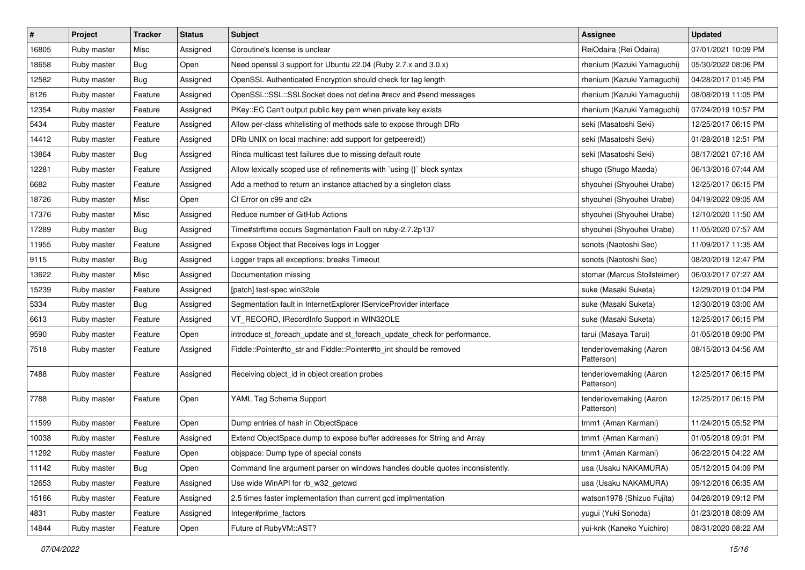| $\sharp$ | Project     | Tracker    | <b>Status</b> | <b>Subject</b>                                                                | <b>Assignee</b>                       | <b>Updated</b>      |
|----------|-------------|------------|---------------|-------------------------------------------------------------------------------|---------------------------------------|---------------------|
| 16805    | Ruby master | Misc       | Assigned      | Coroutine's license is unclear                                                | ReiOdaira (Rei Odaira)                | 07/01/2021 10:09 PM |
| 18658    | Ruby master | Bug        | Open          | Need openssl 3 support for Ubuntu 22.04 (Ruby 2.7.x and 3.0.x)                | rhenium (Kazuki Yamaguchi)            | 05/30/2022 08:06 PM |
| 12582    | Ruby master | <b>Bug</b> | Assigned      | OpenSSL Authenticated Encryption should check for tag length                  | rhenium (Kazuki Yamaguchi)            | 04/28/2017 01:45 PM |
| 8126     | Ruby master | Feature    | Assigned      | OpenSSL::SSL::SSLSocket does not define #recv and #send messages              | rhenium (Kazuki Yamaguchi)            | 08/08/2019 11:05 PM |
| 12354    | Ruby master | Feature    | Assigned      | PKey::EC Can't output public key pem when private key exists                  | rhenium (Kazuki Yamaguchi)            | 07/24/2019 10:57 PM |
| 5434     | Ruby master | Feature    | Assigned      | Allow per-class whitelisting of methods safe to expose through DRb            | seki (Masatoshi Seki)                 | 12/25/2017 06:15 PM |
| 14412    | Ruby master | Feature    | Assigned      | DRb UNIX on local machine: add support for getpeereid()                       | seki (Masatoshi Seki)                 | 01/28/2018 12:51 PM |
| 13864    | Ruby master | <b>Bug</b> | Assigned      | Rinda multicast test failures due to missing default route                    | seki (Masatoshi Seki)                 | 08/17/2021 07:16 AM |
| 12281    | Ruby master | Feature    | Assigned      | Allow lexically scoped use of refinements with `using {}` block syntax        | shugo (Shugo Maeda)                   | 06/13/2016 07:44 AM |
| 6682     | Ruby master | Feature    | Assigned      | Add a method to return an instance attached by a singleton class              | shyouhei (Shyouhei Urabe)             | 12/25/2017 06:15 PM |
| 18726    | Ruby master | Misc       | Open          | CI Error on c99 and c2x                                                       | shyouhei (Shyouhei Urabe)             | 04/19/2022 09:05 AM |
| 17376    | Ruby master | Misc       | Assigned      | Reduce number of GitHub Actions                                               | shyouhei (Shyouhei Urabe)             | 12/10/2020 11:50 AM |
| 17289    | Ruby master | <b>Bug</b> | Assigned      | Time#strftime occurs Segmentation Fault on ruby-2.7.2p137                     | shyouhei (Shyouhei Urabe)             | 11/05/2020 07:57 AM |
| 11955    | Ruby master | Feature    | Assigned      | Expose Object that Receives logs in Logger                                    | sonots (Naotoshi Seo)                 | 11/09/2017 11:35 AM |
| 9115     | Ruby master | Bug        | Assigned      | Logger traps all exceptions; breaks Timeout                                   | sonots (Naotoshi Seo)                 | 08/20/2019 12:47 PM |
| 13622    | Ruby master | Misc       | Assigned      | Documentation missing                                                         | stomar (Marcus Stollsteimer)          | 06/03/2017 07:27 AM |
| 15239    | Ruby master | Feature    | Assigned      | [patch] test-spec win32ole                                                    | suke (Masaki Suketa)                  | 12/29/2019 01:04 PM |
| 5334     | Ruby master | Bug        | Assigned      | Segmentation fault in InternetExplorer IServiceProvider interface             | suke (Masaki Suketa)                  | 12/30/2019 03:00 AM |
| 6613     | Ruby master | Feature    | Assigned      | VT_RECORD, IRecordInfo Support in WIN32OLE                                    | suke (Masaki Suketa)                  | 12/25/2017 06:15 PM |
| 9590     | Ruby master | Feature    | Open          | introduce st_foreach_update and st_foreach_update_check for performance.      | tarui (Masaya Tarui)                  | 01/05/2018 09:00 PM |
| 7518     | Ruby master | Feature    | Assigned      | Fiddle::Pointer#to_str and Fiddle::Pointer#to_int should be removed           | tenderlovemaking (Aaron<br>Patterson) | 08/15/2013 04:56 AM |
| 7488     | Ruby master | Feature    | Assigned      | Receiving object_id in object creation probes                                 | tenderlovemaking (Aaron<br>Patterson) | 12/25/2017 06:15 PM |
| 7788     | Ruby master | Feature    | Open          | YAML Tag Schema Support                                                       | tenderlovemaking (Aaron<br>Patterson) | 12/25/2017 06:15 PM |
| 11599    | Ruby master | Feature    | Open          | Dump entries of hash in ObjectSpace                                           | tmm1 (Aman Karmani)                   | 11/24/2015 05:52 PM |
| 10038    | Ruby master | Feature    | Assigned      | Extend ObjectSpace.dump to expose buffer addresses for String and Array       | tmm1 (Aman Karmani)                   | 01/05/2018 09:01 PM |
| 11292    | Ruby master | Feature    | Open          | objspace: Dump type of special consts                                         | tmm1 (Aman Karmani)                   | 06/22/2015 04:22 AM |
| 11142    | Ruby master | Bug        | Open          | Command line argument parser on windows handles double quotes inconsistently. | usa (Usaku NAKAMURA)                  | 05/12/2015 04:09 PM |
| 12653    | Ruby master | Feature    | Assigned      | Use wide WinAPI for rb_w32_getcwd                                             | usa (Usaku NAKAMURA)                  | 09/12/2016 06:35 AM |
| 15166    | Ruby master | Feature    | Assigned      | 2.5 times faster implementation than current gcd implmentation                | watson1978 (Shizuo Fujita)            | 04/26/2019 09:12 PM |
| 4831     | Ruby master | Feature    | Assigned      | Integer#prime factors                                                         | yugui (Yuki Sonoda)                   | 01/23/2018 08:09 AM |
| 14844    | Ruby master | Feature    | Open          | Future of RubyVM::AST?                                                        | yui-knk (Kaneko Yuichiro)             | 08/31/2020 08:22 AM |